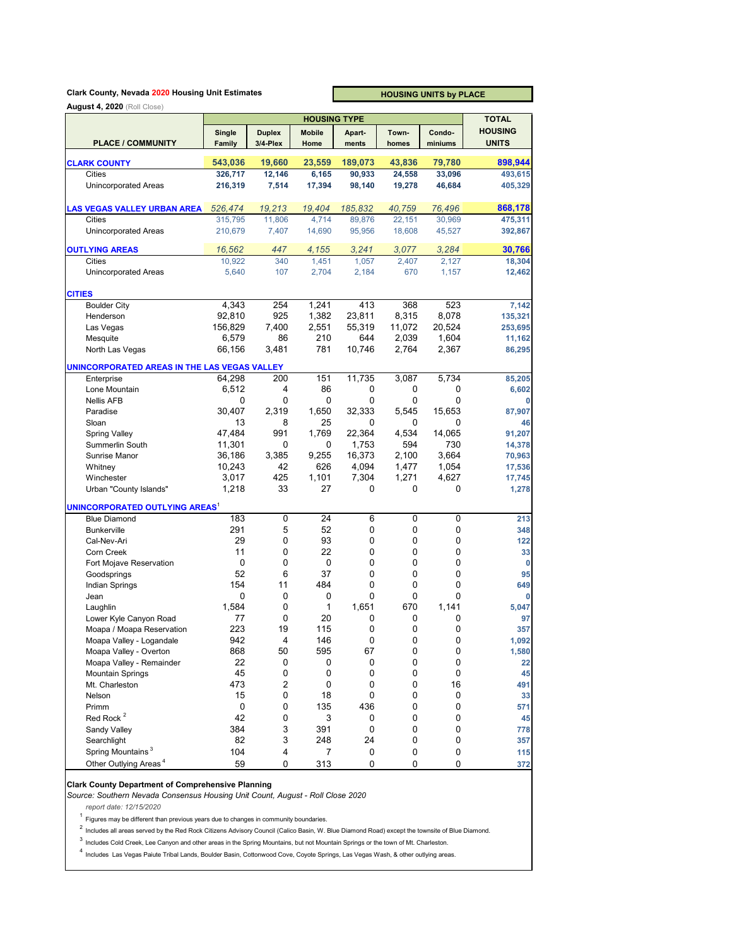#### **Clark County, Nevada 2020 Housing Unit Estimates**

**HOUSING UNITS by PLACE**

|                                                  |           | <b>TOTAL</b>        |                 |         |                  |           |                |
|--------------------------------------------------|-----------|---------------------|-----------------|---------|------------------|-----------|----------------|
|                                                  | Single    | <b>Duplex</b>       | Mobile          | Apart   | <b>Town</b>      | Condo-    | <b>HOUSING</b> |
| <b>PLACE / COMMUNITY</b>                         | Family    | 3/4-Plex            | Home            | ments   | homes            | miniums   | <b>UNITS</b>   |
|                                                  | 543,036   | 19,660              | 23,559          | 189,073 | 43,836           | 79,780    | 898,944        |
| <b>CLARK COUNTY</b><br>Cities                    | 326,717   | 12,146              | 6,165           | 90,933  |                  | 33,096    | 493,615        |
| <b>Unincorporated Areas</b>                      | 216,319   | 7,514               | 17,394          | 98,140  | 24,558<br>19,278 | 46,684    | 405,329        |
|                                                  |           |                     |                 |         |                  |           |                |
| <b>LAS VEGAS VALLEY URBAN AREA</b>               | 526,474   | 19,213              | 19,404          | 185,832 | 40,759           | 76,496    | 868,178        |
| Cities                                           | 315,795   | 11,806              | 4,714           | 89,876  | 22,151           | 30,969    | 475,311        |
| <b>Unincorporated Areas</b>                      | 210,679   | 7.407               | 14,690          | 95,956  | 18,608           | 45,527    | 392,867        |
|                                                  |           |                     |                 |         |                  |           |                |
| <b>OUTLYING AREAS</b>                            | 16.562    | 447                 | 4,155           | 3,241   | 3,077            | 3,284     | 30,766         |
| <b>Cities</b>                                    | 10,922    | 340                 | 1,451           | 1,057   | 2,407            | 2,127     | 18,304         |
| <b>Unincorporated Areas</b>                      | 5,640     | 107                 | 2,704           | 2.184   | 670              | 1,157     | 12,462         |
|                                                  |           |                     |                 |         |                  |           |                |
| <b>CITIES</b><br><b>Boulder City</b>             | 4,343     | 254                 | 1,241           | 413     | 368              | 523       | 7,142          |
| Henderson                                        | 92,810    | 925                 | 1,382           | 23,811  | 8,315            | 8,078     | 135,321        |
| Las Vegas                                        | 156,829   | 7,400               | 2,551           | 55,319  | 11,072           | 20,524    | 253,695        |
| Mesquite                                         | 6,579     | 86                  | 210             | 644     | 2,039            | 1,604     | 11,162         |
| North Las Vegas                                  | 66,156    | 3.481               | 781             | 10,746  | 2,764            | 2,367     | 86,295         |
|                                                  |           |                     |                 |         |                  |           |                |
| UNINCORPORATED AREAS IN THE LAS VEGAS VALLEY     |           |                     |                 |         |                  |           |                |
| Enterprise                                       | 64,298    | 200                 | 151             | 11,735  | 3,087            | 5,734     | 85,205         |
| Lone Mountain                                    | 6,512     | 4                   | 86              | 0       | 0                | 0         | 6,602          |
| <b>Nellis AFB</b>                                | 0         | 0                   | 0               | 0       | 0                | 0         | 0              |
| Paradise                                         | 30,407    | 2,319               | 1,650           | 32,333  | 5,545            | 15.653    | 87,907         |
| Sloan                                            | 13        | 8                   | 25              | 0       | 0                | 0         | 46             |
| <b>Spring Valley</b>                             | 47.484    | 991                 | 1,769           | 22,364  | 4,534            | 14,065    | 91,207         |
| Summerlin South                                  | 11,301    | 0                   | 0               | 1,753   | 594              | 730       | 14,378         |
| Sunrise Manor                                    | 36,186    | 3,385               | 9,255           | 16,373  | 2,100            | 3,664     | 70,963         |
| Whitney                                          | 10,243    | 42                  | 626             | 4,094   | 1,477            | 1,054     | 17,536         |
| Winchester                                       | 3,017     | 425                 | 1,101           | 7,304   | 1,271            | 4,627     | 17,745         |
| Urban "County Islands"                           | 1,218     | 33                  | 27              | 0       | 0                | 0         | 1,278          |
| <b>UNINCORPORATED OUTLYING AREAS<sup>1</sup></b> |           |                     |                 |         |                  |           |                |
| <b>Blue Diamond</b>                              | 183       | $\overline{0}$      | $\overline{24}$ | 6       | $\overline{0}$   | 0         | 213            |
| <b>Bunkerville</b>                               | 291       | 5                   | 52              | 0       | 0                | 0         | 348            |
| Cal-Nev-Ari                                      | 29        | 0                   | 93              | 0       | 0                | 0         | 122            |
| Corn Creek                                       | 11        | 0                   | 22              | 0       | 0                | 0         | 33             |
| Fort Mojave Reservation                          | 0         | 0                   | 0               | 0       | 0                | 0         | 0              |
| Goodsprings                                      | 52        | 6                   | 37              | 0       | 0                | 0         | 95             |
| Indian Springs                                   | 154       | 11                  | 484             | 0       | 0                | 0         | 649            |
| Jean                                             | 0         | 0                   | 0               | 0       | 0                | 0         | 0              |
| Laughlin                                         | 1,584     | 0                   | 1               | 1,651   | 670              | 1,141     | 5,047          |
| Lower Kyle Canyon Road                           | 77        | 0                   | 20              | 0       | 0                | 0         | 97             |
| Moapa / Moapa Reservation                        | 223       | 19                  | 115             | 0       | 0                | 0         | 357            |
| Moapa Valley - Logandale                         | 942       | 4                   | 146             | 0       | 0                | $\pmb{0}$ | 1,092          |
| Moapa Valley - Overton                           | 868       | 50                  | 595             | 67      | 0                | $\pmb{0}$ | 1,580          |
| Moapa Valley - Remainder                         | 22        | 0                   | 0               | 0       | 0                | 0         | 22             |
| <b>Mountain Springs</b>                          | 45        | $\pmb{0}$           | 0               | 0       | 0                | 0         | 45             |
| Mt. Charleston<br>Nelson                         | 473<br>15 | $\overline{c}$<br>0 | 0               | 0       | 0                | 16<br>0   | 491            |
|                                                  |           |                     | 18              | 0       | 0                |           | 33             |
| Primm<br>Red Rock <sup>2</sup>                   | 0<br>42   | 0                   | 135             | 436     | 0                | 0         | 571            |
|                                                  | 384       | 0<br>3              | 3               | 0<br>0  | 0                | 0         | 45             |
| Sandy Valley                                     | 82        | 3                   | 391             | 24      | 0<br>$\pmb{0}$   | 0         | 778            |
| Searchlight<br>Spring Mountains <sup>3</sup>     |           |                     | 248             |         |                  | 0         | 357            |
| Other Outlying Areas <sup>4</sup>                | 104       | 4                   | $\overline{7}$  | 0       | $\pmb{0}$        | 0         | 115            |
|                                                  | 59        | 0                   | 313             | 0       | 0                | 0         | 372            |

#### **Clark County Department of Comprehensive Planning**

*Source: Southern Nevada Consensus Housing Unit Count, August - Roll Close 2020*

*report date: 12/15/2020*

 $1$  Figures may be different than previous years due to changes in community boundaries.

 $^2$  Includes all areas served by the Red Rock Citizens Advisory Council (Calico Basin, W. Blue Diamond Road) except the townsite of Blue Diamond.

3 Includes Cold Creek, Lee Canyon and other areas in the Spring Mountains, but not Mountain Springs or the town of Mt. Charleston.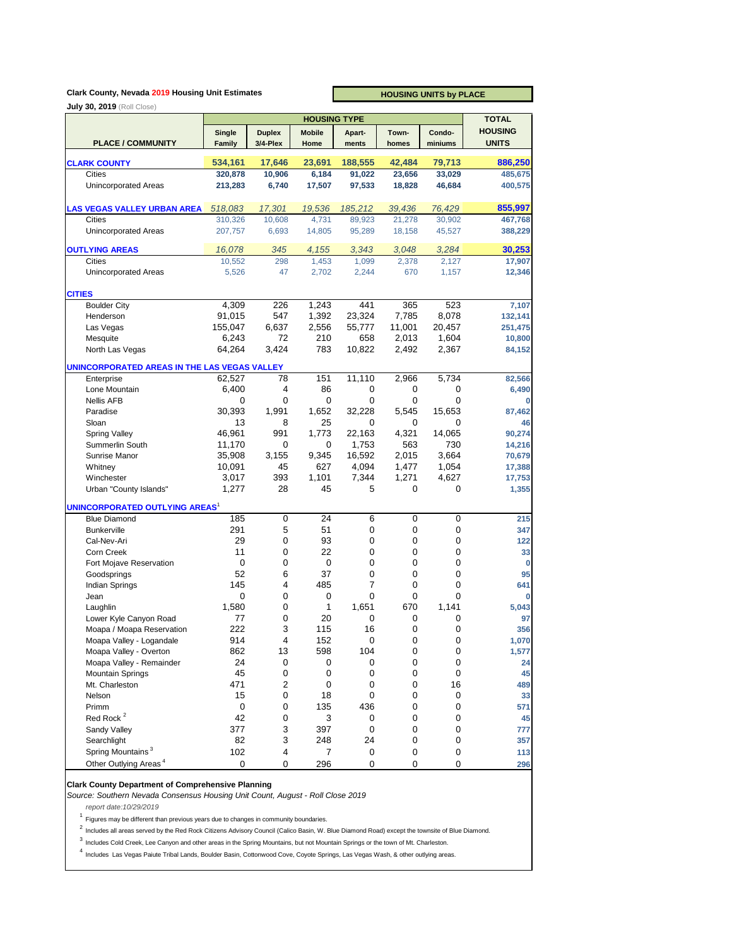## **Clark County, Nevada 2019 Housing Unit Estimates**

**HOUSING UNITS by PLACE**

| <b>July 30, 2019</b> (Roll Close)                          |           |                | <b>HOUSING TYPE</b> |           |        |             | <b>TOTAL</b>   |
|------------------------------------------------------------|-----------|----------------|---------------------|-----------|--------|-------------|----------------|
|                                                            | Single    | <b>Duplex</b>  | <b>Mobile</b>       | Apart-    | Town-  | Condo-      | <b>HOUSING</b> |
| <b>PLACE / COMMUNITY</b>                                   | Family    | 3/4-Plex       | Home                | ments     | homes  | miniums     | <b>UNITS</b>   |
|                                                            |           |                |                     |           |        |             |                |
| <b>CLARK COUNTY</b>                                        | 534,161   | 17,646         | 23,691              | 188,555   | 42,484 | 79,713      | 886,250        |
| <b>Cities</b>                                              | 320,878   | 10,906         | 6,184               | 91,022    | 23,656 | 33,029      | 485,675        |
| <b>Unincorporated Areas</b>                                | 213,283   | 6,740          | 17,507              | 97,533    | 18,828 | 46,684      | 400,575        |
| <b>LAS VEGAS VALLEY URBAN AREA</b>                         | 518,083   | 17,301         | 19,536              | 185,212   | 39,436 | 76,429      | 855,997        |
| <b>Cities</b>                                              | 310,326   | 10,608         | 4,731               | 89,923    | 21,278 | 30,902      | 467,768        |
| <b>Unincorporated Areas</b>                                | 207,757   | 6,693          | 14,805              | 95,289    | 18,158 | 45,527      | 388,229        |
| <b>OUTLYING AREAS</b>                                      | 16,078    | 345            | 4,155               | 3,343     | 3,048  | 3,284       | 30,253         |
| <b>Cities</b>                                              | 10,552    | 298            | 1,453               | 1,099     | 2,378  | 2,127       | 17,907         |
| <b>Unincorporated Areas</b>                                | 5,526     | 47             | 2,702               | 2,244     | 670    | 1,157       | 12,346         |
| <b>CITIES</b>                                              |           |                |                     |           |        |             |                |
| <b>Boulder City</b>                                        | 4,309     | 226            | 1,243               | 441       | 365    | 523         | 7,107          |
| Henderson                                                  | 91,015    | 547            | 1,392               | 23,324    | 7,785  | 8,078       | 132,141        |
| Las Vegas                                                  | 155,047   | 6,637          | 2,556               | 55,777    | 11,001 | 20,457      | 251,475        |
| Mesquite                                                   | 6,243     | 72             | 210                 | 658       | 2,013  | 1,604       | 10,800         |
| North Las Vegas                                            | 64,264    | 3,424          | 783                 | 10,822    | 2,492  | 2,367       | 84,152         |
|                                                            |           |                |                     |           |        |             |                |
| UNINCORPORATED AREAS IN THE LAS VEGAS VALLEY<br>Enterprise | 62,527    | 78             | 151                 | 11,110    | 2,966  | 5,734       | 82,566         |
| Lone Mountain                                              | 6,400     | 4              | 86                  | 0         | 0      | 0           | 6,490          |
| <b>Nellis AFB</b>                                          | 0         | 0              | 0                   | 0         | 0      | $\mathbf 0$ | 0              |
| Paradise                                                   | 30,393    | 1,991          | 1,652               | 32,228    | 5,545  | 15,653      | 87,462         |
| Sloan                                                      | 13        | 8              | 25                  | 0         | 0      | $\mathbf 0$ | 46             |
| <b>Spring Valley</b>                                       | 46,961    | 991            | 1,773               | 22,163    | 4,321  | 14,065      | 90,274         |
| Summerlin South                                            | 11,170    | $\mathbf 0$    | 0                   | 1,753     | 563    | 730         | 14,216         |
| Sunrise Manor                                              | 35,908    | 3,155          | 9,345               | 16,592    | 2,015  | 3,664       | 70,679         |
| Whitney                                                    | 10,091    | 45             | 627                 | 4,094     | 1,477  | 1,054       | 17,388         |
| Winchester                                                 | 3,017     | 393            | 1,101               | 7,344     | 1,271  | 4,627       | 17,753         |
| Urban "County Islands"                                     | 1,277     | 28             | 45                  | 5         | 0      | 0           | 1,355          |
| <b>UNINCORPORATED OUTLYING AREAS<sup>1</sup></b>           |           |                |                     |           |        |             |                |
| <b>Blue Diamond</b>                                        | 185       | 0              | 24                  | 6         | 0      | 0           | 215            |
| <b>Bunkerville</b>                                         | 291       | 5              | 51                  | 0         | 0      | 0           | 347            |
| Cal-Nev-Ari                                                | 29        | 0              | 93                  | 0         | 0      | 0           | 122            |
| Corn Creek                                                 | 11        | 0              | 22                  | 0         | 0      | $\mathbf 0$ | 33             |
| Fort Mojave Reservation                                    | 0         | 0              | 0                   | 0         | 0      | $\mathbf 0$ | 0              |
| Goodsprings                                                | 52        | 6              | 37                  | 0         | 0      | $\mathbf 0$ | 95             |
| Indian Springs                                             | 145       | 4              | 485                 | 7         | 0      | $\mathbf 0$ | 641            |
| Jean                                                       | 0         | 0              | $\mathbf 0$         | 0         | 0      | $\mathbf 0$ | 0              |
| Laughlin                                                   | 1,580     | 0              | 1                   | 1,651     | 670    | 1,141       | 5,043          |
| Lower Kyle Canyon Road                                     | 77        | 0              | 20                  | 0         | 0      | 0           | 97             |
| Moapa / Moapa Reservation                                  | 222       | 3              | 115                 | 16        | 0      | $\mathbf 0$ | 356            |
| Moapa Valley - Logandale                                   | 914       | 4              | 152                 | 0         | 0      | 0           | 1,070          |
| Moapa Valley - Overton                                     | 862       | 13             | 598                 | 104       | 0      | 0           | 1,577          |
| Moapa Valley - Remainder                                   | 24        | 0              | 0                   | 0         | 0      | 0           | 24             |
| <b>Mountain Springs</b>                                    | 45        | $\pmb{0}$      | $\pmb{0}$           | 0         | 0      | 0           | 45             |
| Mt. Charleston                                             | 471       | $\overline{c}$ | 0                   | 0         | 0      | 16          | 489            |
| Nelson                                                     | 15        | 0              | 18                  | 0         | 0      | 0           | 33             |
| Primm                                                      | 0         | 0              | 135                 | 436       | 0      | 0           | 571            |
| Red Rock <sup>2</sup>                                      | 42        |                | 3                   |           | 0      | 0           |                |
|                                                            |           | 0              |                     | 0<br>0    | 0      | 0           | 45             |
| Sandy Valley<br>Searchlight                                | 377<br>82 | 3<br>3         | 397<br>248          | 24        | 0      | 0           | 777<br>357     |
| Spring Mountains <sup>3</sup>                              | 102       | 4              | 7                   | $\pmb{0}$ | 0      | 0           | 113            |
| Other Outlying Areas <sup>4</sup>                          | 0         | 0              | 296                 | 0         | 0      | 0           | 296            |
|                                                            |           |                |                     |           |        |             |                |

## **Clark County Department of Comprehensive Planning**

*Source: Southern Nevada Consensus Housing Unit Count, August - Roll Close 2019*

*report date:10/29/2019*

<sup>1</sup> Figures may be different than previous years due to changes in community boundaries.

<sup>2</sup> Includes all areas served by the Red Rock Citizens Advisory Council (Calico Basin, W. Blue Diamond Road) except the townsite of Blue Diamond.

<sup>3</sup> Includes Cold Creek, Lee Canyon and other areas in the Spring Mountains, but not Mountain Springs or the town of Mt. Charleston.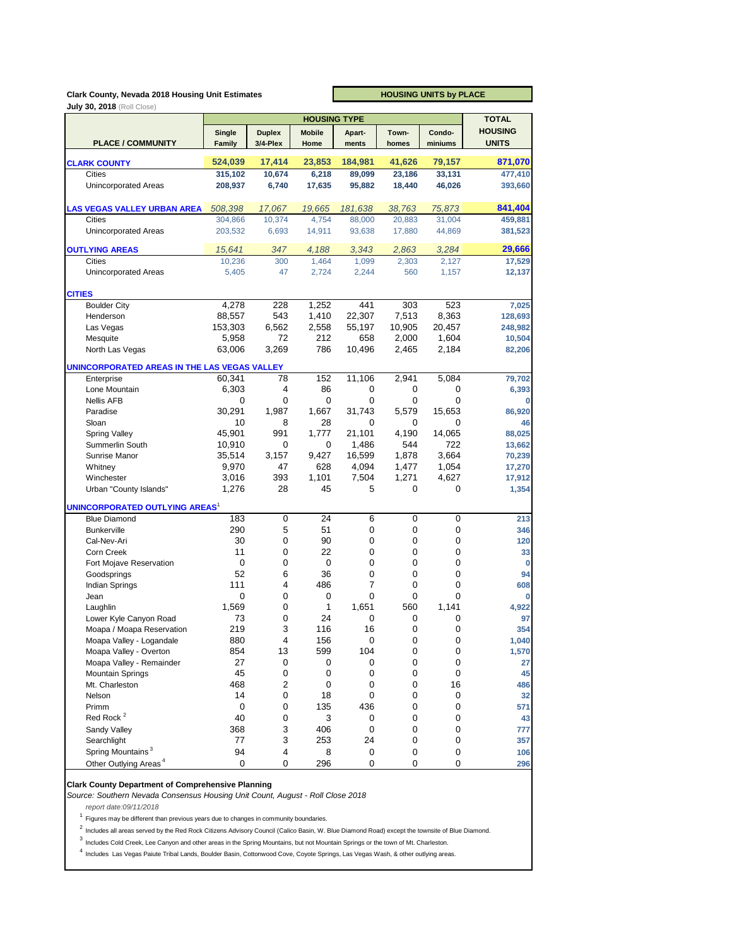#### **Clark County, Nevada 2018 Housing Unit Estimates**

**HOUSING UNITS by PLACE**

|                                                  |               |                | <b>HOUSING TYPE</b> |           |           |             | <b>TOTAL</b>   |
|--------------------------------------------------|---------------|----------------|---------------------|-----------|-----------|-------------|----------------|
|                                                  | Single        | <b>Duplex</b>  | <b>Mobile</b>       | Apart-    | Town-     | Condo-      | <b>HOUSING</b> |
| <b>PLACE / COMMUNITY</b>                         | <b>Family</b> | 3/4-Plex       | Home                | ments     | homes     | miniums     | <b>UNITS</b>   |
|                                                  | 524,039       | 17,414         | 23,853              | 184,981   | 41,626    | 79,157      | 871,070        |
| <b>CLARK COUNTY</b>                              |               |                |                     |           |           |             |                |
| Cities                                           | 315,102       | 10,674         | 6,218               | 89,099    | 23,186    | 33,131      | 477,410        |
| <b>Unincorporated Areas</b>                      | 208,937       | 6,740          | 17,635              | 95,882    | 18,440    | 46,026      | 393,660        |
| <b>LAS VEGAS VALLEY URBAN AREA</b>               | 508,398       | 17,067         | 19,665              | 181,638   | 38,763    | 75,873      | 841,404        |
| <b>Cities</b>                                    | 304,866       | 10,374         | 4,754               | 88,000    | 20,883    | 31,004      | 459,881        |
| <b>Unincorporated Areas</b>                      | 203,532       | 6,693          | 14,911              | 93,638    | 17,880    | 44,869      | 381,523        |
| <b>OUTLYING AREAS</b>                            | 15.641        | 347            | 4,188               | 3,343     | 2,863     | 3,284       | 29,666         |
| <b>Cities</b>                                    | 10,236        | 300            | 1,464               | 1,099     | 2,303     | 2,127       | 17,529         |
| Unincorporated Areas                             | 5.405         | 47             | 2,724               | 2,244     | 560       | 1,157       | 12,137         |
|                                                  |               |                |                     |           |           |             |                |
| <b>CITIES</b><br><b>Boulder City</b>             | 4,278         | 228            | 1,252               | 441       | 303       | 523         | 7,025          |
| Henderson                                        | 88,557        | 543            | 1,410               | 22,307    | 7,513     | 8,363       | 128,693        |
| Las Vegas                                        | 153,303       | 6,562          | 2,558               | 55,197    | 10,905    | 20,457      | 248,982        |
|                                                  | 5,958         | 72             | 212                 | 658       | 2,000     | 1,604       | 10,504         |
| Mesquite                                         | 63,006        | 3,269          | 786                 |           |           |             |                |
| North Las Vegas                                  |               |                |                     | 10,496    | 2,465     | 2,184       | 82,206         |
| UNINCORPORATED AREAS IN THE LAS VEGAS VALLEY     |               |                |                     | 11,106    |           |             |                |
| Enterprise                                       | 60,341        | 78<br>4        | 152                 |           | 2,941     | 5,084       | 79,702         |
| Lone Mountain                                    | 6,303         |                | 86                  | 0         | 0         | 0           | 6,393          |
| <b>Nellis AFB</b>                                | 0             | 0              | 0                   | 0         | 0         | $\mathbf 0$ | O              |
| Paradise                                         | 30,291        | 1,987          | 1,667               | 31,743    | 5,579     | 15,653      | 86,920         |
| Sloan                                            | 10            | 8              | 28                  | 0         | 0         | 0           | 46             |
| <b>Spring Valley</b>                             | 45,901        | 991            | 1,777               | 21,101    | 4,190     | 14,065      | 88,025         |
| <b>Summerlin South</b>                           | 10,910        | 0              | 0                   | 1,486     | 544       | 722         | 13,662         |
| Sunrise Manor                                    | 35,514        | 3,157          | 9,427               | 16,599    | 1,878     | 3,664       | 70,239         |
| Whitney                                          | 9,970         | 47             | 628                 | 4,094     | 1,477     | 1,054       | 17,270         |
| Winchester                                       | 3,016         | 393            | 1,101               | 7,504     | 1,271     | 4,627       | 17,912         |
| Urban "County Islands"                           | 1,276         | 28             | 45                  | 5         | 0         | 0           | 1,354          |
| <b>UNINCORPORATED OUTLYING AREAS<sup>1</sup></b> |               |                |                     |           |           |             |                |
| <b>Blue Diamond</b>                              | 183           | $\overline{0}$ | 24                  | 6         | 0         | 0           | 213            |
| <b>Bunkerville</b>                               | 290           | 5              | 51                  | 0         | 0         | 0           | 346            |
| Cal-Nev-Ari                                      | 30            | 0              | 90                  | 0         | 0         | 0           | 120            |
| Corn Creek                                       | 11            | 0              | 22                  | 0         | 0         | 0           | 33             |
| Fort Mojave Reservation                          | 0             | 0              | 0                   | 0         | 0         | 0           | O              |
| Goodsprings                                      | 52            | 6              | 36                  | 0         | 0         | 0           | 94             |
| Indian Springs                                   | 111           | 4              | 486                 | 7         | 0         | 0           | 608            |
| Jean                                             | 0             | 0              | 0                   | 0         | 0         | 0           | O              |
| Laughlin                                         | 1,569         | 0              | 1                   | 1,651     | 560       | 1,141       | 4,922          |
| Lower Kyle Canyon Road                           | 73            | 0              | 24                  | 0         | 0         | 0           | 97             |
| Moapa / Moapa Reservation                        | 219           | 3              | 116                 | 16        | 0         | 0           | 354            |
| Moapa Valley - Logandale                         | 880           | 4              | 156                 | $\pmb{0}$ | 0         | 0           | 1,040          |
| Moapa Valley - Overton                           | 854           | 13             | 599                 | 104       | 0         | 0           | 1,570          |
| Moapa Valley - Remainder                         | 27            | 0              | 0                   | 0         | $\pmb{0}$ | 0           | 27             |
| <b>Mountain Springs</b>                          | 45            | 0              | 0                   | 0         | 0         | 0           | 45             |
| Mt. Charleston                                   | 468           | $\overline{c}$ | 0                   | 0         | 0         | 16          | 486            |
| Nelson                                           | 14            | 0              | 18                  | 0         | 0         | 0           | 32             |
| Primm                                            | 0             | 0              | 135                 | 436       | 0         | 0           | 571            |
| Red Rock <sup>2</sup>                            | 40            | 0              | 3                   | 0         | 0         | 0           | 43             |
| Sandy Valley                                     | 368           | 3              | 406                 | 0         | 0         | 0           | 777            |
| Searchlight                                      | 77            | 3              | 253                 | 24        | 0         | 0           | 357            |
| Spring Mountains <sup>3</sup>                    | 94            | 4              |                     |           |           |             |                |
|                                                  |               |                | 8                   | 0         | 0         | 0           | 106            |
| Other Outlying Areas <sup>4</sup>                | 0             | 0              | 296                 | 0         | 0         | 0           | 296            |

## **Clark County Department of Comprehensive Planning**

*Source: Southern Nevada Consensus Housing Unit Count, August - Roll Close 2018*

*report date:09/11/2018*

 $1$  Figures may be different than previous years due to changes in community boundaries.

<sup>2</sup> Includes all areas served by the Red Rock Citizens Advisory Council (Calico Basin, W. Blue Diamond Road) except the townsite of Blue Diamond.

 $3$  Includes Cold Creek, Lee Canyon and other areas in the Spring Mountains, but not Mountain Springs or the town of Mt. Charleston.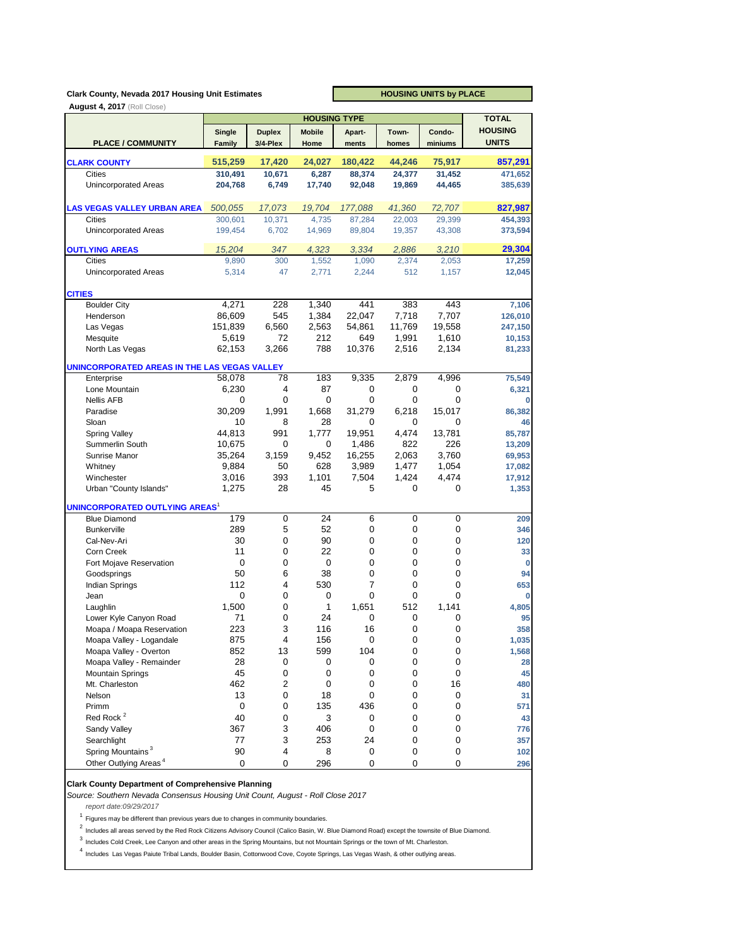#### **Clark County, Nevada 2017 Housing Unit Estimates**

**HOUSING UNITS by PLACE**

|                                                    |             |                | <b>HOUSING TYPE</b> |           |                |             | <b>TOTAL</b>   |
|----------------------------------------------------|-------------|----------------|---------------------|-----------|----------------|-------------|----------------|
|                                                    | Single      | <b>Duplex</b>  | <b>Mobile</b>       | Apart-    | Town-          | Condo-      | <b>HOUSING</b> |
| <b>PLACE / COMMUNITY</b>                           | Family      | 3/4-Plex       | Home                | ments     | homes          | miniums     | <b>UNITS</b>   |
|                                                    | 515,259     |                |                     |           |                | 75,917      |                |
| <b>CLARK COUNTY</b>                                |             | 17,420         | 24,027              | 180,422   | 44,246         |             | 857,291        |
| <b>Cities</b>                                      | 310,491     | 10,671         | 6,287               | 88,374    | 24,377         | 31,452      | 471,652        |
| <b>Unincorporated Areas</b>                        | 204,768     | 6,749          | 17,740              | 92,048    | 19,869         | 44,465      | 385,639        |
| <b>LAS VEGAS VALLEY URBAN AREA</b>                 | 500,055     | 17,073         | 19,704              | 177,088   | 41,360         | 72,707      | 827,987        |
| <b>Cities</b>                                      | 300,601     | 10,371         | 4,735               | 87,284    | 22,003         | 29,399      | 454,393        |
| Unincorporated Areas                               | 199,454     | 6,702          | 14,969              | 89,804    | 19,357         | 43,308      | 373,594        |
| <b>OUTLYING AREAS</b>                              | 15,204      | 347            | 4,323               | 3,334     | 2,886          | 3,210       | 29,304         |
| <b>Cities</b>                                      | 9,890       | 300            | 1,552               | 1,090     | 2,374          | 2,053       | 17,259         |
| <b>Unincorporated Areas</b>                        | 5,314       | 47             | 2,771               | 2,244     | 512            | 1,157       | 12,045         |
| <b>CITIES</b>                                      |             |                |                     |           |                |             |                |
| <b>Boulder City</b>                                | 4,271       | 228            | 1,340               | 441       | 383            | 443         | 7,106          |
| Henderson                                          | 86,609      | 545            | 1,384               | 22,047    | 7,718          | 7,707       | 126,010        |
| Las Vegas                                          | 151,839     | 6,560          | 2,563               | 54,861    | 11,769         | 19,558      | 247,150        |
| Mesquite                                           | 5,619       | 72             | 212                 | 649       | 1,991          | 1,610       | 10,153         |
| North Las Vegas                                    | 62,153      | 3,266          | 788                 | 10,376    | 2,516          | 2,134       | 81,233         |
| UNINCORPORATED AREAS IN THE LAS VEGAS VALLEY       |             |                |                     |           |                |             |                |
| Enterprise                                         | 58,078      | 78             | 183                 | 9,335     | 2,879          | 4,996       | 75,549         |
| Lone Mountain                                      | 6,230       | 4              | 87                  | 0         | 0              | 0           | 6,321          |
| <b>Nellis AFB</b>                                  | 0           | 0              | 0                   | 0         | 0              | $\mathbf 0$ | O              |
| Paradise                                           | 30,209      | 1,991          | 1,668               | 31,279    | 6,218          | 15,017      | 86,382         |
| Sloan                                              | 10          | 8              | 28                  | 0         | 0              | 0           | 46             |
| <b>Spring Valley</b>                               | 44,813      | 991            | 1,777               | 19,951    | 4,474          | 13,781      | 85,787         |
| Summerlin South                                    | 10,675      | 0              | 0                   | 1.486     | 822            | 226         | 13,209         |
| Sunrise Manor                                      | 35,264      | 3,159          | 9,452               | 16,255    | 2,063          | 3,760       | 69,953         |
| Whitney                                            | 9,884       | 50             | 628                 | 3,989     | 1,477          | 1,054       | 17,082         |
| Winchester                                         | 3,016       | 393            | 1,101               | 7,504     | 1,424          | 4,474       | 17,912         |
| Urban "County Islands"                             | 1,275       | 28             | 45                  | 5         | 0              | 0           | 1,353          |
| UNINCORPORATED OUTLYING AREAS <sup>1</sup>         |             |                |                     |           |                |             |                |
| <b>Blue Diamond</b>                                | 179         | 0              | 24                  | 6         | 0              | 0           | 209            |
| <b>Bunkerville</b>                                 | 289         | 5              | 52                  | 0         | 0              | 0           | 346            |
| Cal-Nev-Ari                                        | 30          | 0              | 90                  | 0         | 0              | 0           | 120            |
| Corn Creek                                         | 11          | 0              | 22                  | 0         | 0              | 0           | 33             |
| Fort Mojave Reservation                            | 0           | 0              | 0                   | 0         | 0              | 0           |                |
| Goodsprings                                        | 50          | 6              | 38                  | 0         | 0              | 0           | 94             |
| <b>Indian Springs</b>                              | 112         | 4              | 530                 | 7         | 0              | 0           | 653            |
| Jean                                               | $\mathbf 0$ | 0              | 0                   | 0         | 0              | $\mathbf 0$ | 0              |
| Laughlin                                           | 1,500       | 0              | $\mathbf{1}$        | 1,651     | 512            | 1.141       | 4,805          |
| Lower Kyle Canyon Road                             | 71          | 0<br>3         | 24                  | 0         | 0<br>0         | 0           | 95             |
| Moapa / Moapa Reservation                          | 223         |                | 116                 | 16        |                | 0           | 358            |
| Moapa Valley - Logandale                           | 875         | 4<br>13        | 156                 | O<br>104  | O<br>$\pmb{0}$ | $\cup$<br>0 | 1,035          |
| Moapa Valley - Overton<br>Moapa Valley - Remainder | 852<br>28   | 0              | 599<br>0            | 0         | 0              | 0           | 1,568<br>28    |
| <b>Mountain Springs</b>                            | 45          | 0              | $\pmb{0}$           | $\pmb{0}$ | $\pmb{0}$      | 0           | 45             |
| Mt. Charleston                                     | 462         | $\overline{c}$ | 0                   | 0         | 0              | 16          | 480            |
| Nelson                                             | 13          | 0              | 18                  | 0         | 0              | 0           | 31             |
| Primm                                              | 0           | 0              | 135                 | 436       | 0              | 0           | 571            |
| Red Rock <sup>2</sup>                              | 40          | 0              | 3                   | 0         | 0              | 0           | 43             |
| Sandy Valley                                       | 367         | 3              | 406                 | 0         | 0              | 0           | 776            |
| Searchlight                                        | 77          | 3              | 253                 | 24        | 0              | 0           | 357            |
| Spring Mountains <sup>3</sup>                      | 90          | 4              | 8                   | 0         | 0              | 0           | 102            |
| Other Outlying Areas <sup>4</sup>                  | 0           | 0              | 296                 | 0         | 0              | 0           | 296            |
|                                                    |             |                |                     |           |                |             |                |

#### **Clark County Department of Comprehensive Planning**

*Source: Southern Nevada Consensus Housing Unit Count, August - Roll Close 2017*

*report date:09/29/2017*

 $1$  Figures may be different than previous years due to changes in community boundaries.

<sup>2</sup> Includes all areas served by the Red Rock Citizens Advisory Council (Calico Basin, W. Blue Diamond Road) except the townsite of Blue Diamond.

 $3$  Includes Cold Creek, Lee Canyon and other areas in the Spring Mountains, but not Mountain Springs or the town of Mt. Charleston.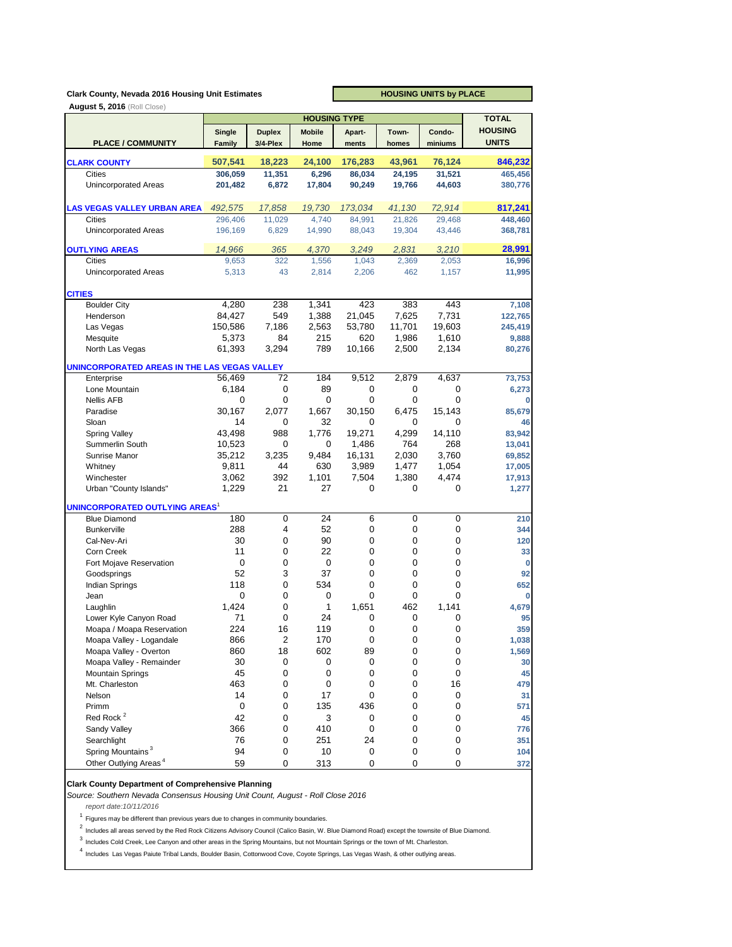## **Clark County, Nevada 2016 Housing Unit Estimates**

**HOUSING UNITS by PLACE**

|                                              |               |               | <b>HOUSING TYPE</b> |           |           |             | <b>TOTAL</b>   |
|----------------------------------------------|---------------|---------------|---------------------|-----------|-----------|-------------|----------------|
|                                              | Single        | <b>Duplex</b> | <b>Mobile</b>       | Apart-    | Town-     | Condo-      | <b>HOUSING</b> |
| <b>PLACE / COMMUNITY</b>                     | <b>Family</b> | 3/4-Plex      | Home                | ments     | homes     | miniums     | <b>UNITS</b>   |
| <b>CLARK COUNTY</b>                          | 507,541       | 18,223        | 24,100              | 176,283   | 43,961    | 76,124      | 846,232        |
| Cities                                       | 306,059       | 11,351        | 6,296               | 86,034    | 24,195    | 31,521      | 465,456        |
| <b>Unincorporated Areas</b>                  |               |               |                     |           |           |             | 380,776        |
|                                              | 201,482       | 6,872         | 17,804              | 90,249    | 19,766    | 44,603      |                |
| <b>LAS VEGAS VALLEY URBAN AREA</b>           | 492,575       | 17,858        | 19,730              | 173,034   | 41,130    | 72,914      | 817,241        |
| <b>Cities</b>                                | 296,406       | 11,029        | 4,740               | 84,991    | 21,826    | 29,468      | 448,460        |
| <b>Unincorporated Areas</b>                  | 196,169       | 6,829         | 14,990              | 88,043    | 19,304    | 43,446      | 368,781        |
| <b>OUTLYING AREAS</b>                        | 14,966        | 365           | 4,370               | 3.249     | 2,831     | 3,210       | 28,991         |
| Cities                                       | 9,653         | 322           | 1,556               | 1,043     | 2,369     | 2,053       | 16,996         |
| <b>Unincorporated Areas</b>                  | 5,313         | 43            | 2,814               | 2,206     | 462       | 1,157       | 11,995         |
| <b>CITIES</b>                                |               |               |                     |           |           |             |                |
| <b>Boulder City</b>                          | 4,280         | 238           | 1,341               | 423       | 383       | 443         | 7,108          |
| Henderson                                    | 84,427        | 549           | 1,388               | 21,045    | 7,625     | 7,731       | 122,765        |
| Las Vegas                                    | 150,586       | 7,186         | 2,563               | 53,780    | 11,701    | 19,603      | 245,419        |
| Mesquite                                     | 5,373         | 84            | 215                 | 620       | 1,986     | 1,610       | 9,888          |
| North Las Vegas                              | 61,393        | 3,294         | 789                 | 10,166    | 2,500     | 2,134       | 80,276         |
| UNINCORPORATED AREAS IN THE LAS VEGAS VALLEY |               |               |                     |           |           |             |                |
| Enterprise                                   | 56,469        | 72            | 184                 | 9,512     | 2,879     | 4.637       | 73,753         |
| Lone Mountain                                | 6,184         | 0             | 89                  | 0         | 0         | 0           | 6,273          |
| <b>Nellis AFB</b>                            | 0             | 0             | 0                   | 0         | 0         | 0           | 0              |
| Paradise                                     | 30,167        | 2,077         | 1,667               | 30,150    | 6,475     | 15,143      | 85,679         |
| Sloan                                        | 14            | 0             | 32                  | 0         | 0         | $\mathbf 0$ | 46             |
| <b>Spring Valley</b>                         | 43,498        | 988           | 1,776               | 19,271    | 4,299     | 14,110      | 83,942         |
| Summerlin South                              | 10,523        | 0             | 0                   | 1,486     | 764       | 268         | 13,041         |
| Sunrise Manor                                | 35,212        | 3,235         | 9,484               | 16,131    | 2,030     | 3,760       | 69,852         |
| Whitney                                      | 9,811         | 44            | 630                 | 3,989     | 1,477     | 1,054       | 17,005         |
| Winchester                                   | 3,062         | 392           | 1,101               | 7,504     | 1,380     | 4,474       | 17,913         |
| Urban "County Islands"                       | 1,229         | 21            | 27                  | 0         | 0         | 0           | 1,277          |
| UNINCORPORATED OUTLYING AREAS <sup>1</sup>   |               |               |                     |           |           |             |                |
| <b>Blue Diamond</b>                          | 180           | $\mathbf 0$   | 24                  | 6         | 0         | 0           | 210            |
| <b>Bunkerville</b>                           | 288           | 4             | 52                  | 0         | 0         | 0           | 344            |
| Cal-Nev-Ari                                  | 30            | 0             | 90                  | 0         | 0         | 0           | 120            |
| Corn Creek                                   | 11            | 0             | 22                  | 0         | 0         | 0           | 33             |
| Fort Mojave Reservation                      | 0             | 0             | 0                   | 0         | 0         | 0           | 0              |
| Goodsprings                                  | 52            | 3             | 37                  | 0         | 0         | 0           | 92             |
| <b>Indian Springs</b>                        | 118           | 0             | 534                 | 0         | 0         | $\mathbf 0$ | 652            |
| Jean                                         | 0             | 0             | $\mathbf 0$         | 0         | 0         | $\mathbf 0$ | 0              |
| Laughlin                                     | 1,424         | 0             | 1                   | 1,651     | 462       | 1,141       | 4,679          |
| Lower Kyle Canyon Road                       | 71            | 0             | 24                  | 0         | 0         | 0           | 95             |
| Moapa / Moapa Reservation                    | 224           | 16            | 119                 | 0         | 0         | 0           | 359            |
| Moapa Valley - Logandale                     | 866           | $\mathbf{z}$  | 170                 | 0         | 0         | 0           | 1,038          |
| Moapa Valley - Overton                       | 860           | 18            | 602                 | 89        | 0         | 0           | 1,569          |
| Moapa Valley - Remainder                     | 30            | 0             | 0                   | 0         | 0         | 0           | 30             |
| <b>Mountain Springs</b>                      | 45            | $\pmb{0}$     | $\pmb{0}$           | $\pmb{0}$ | $\pmb{0}$ | 0           | 45             |
| Mt. Charleston                               | 463           | 0             | 0                   | 0         | 0         | 16          | 479            |
| Nelson                                       | 14            | 0             | 17                  | 0         | 0         | 0           | 31             |
| Primm                                        | 0             | 0             | 135                 | 436       | 0         | 0           | 571            |
| Red Rock <sup>2</sup>                        | 42            | 0             | 3                   | 0         | 0         | 0           | 45             |
| Sandy Valley                                 | 366           | 0             | 410                 | 0         | 0         | 0           | 776            |
| Searchlight                                  | 76            | 0             | 251                 | 24        | 0         | 0           | 351            |
| Spring Mountains <sup>3</sup>                | 94            | 0             | $10$                | $\pmb{0}$ | 0         | 0           | 104            |
| Other Outlying Areas <sup>4</sup>            | 59            | 0             | 313                 | 0         | $\pmb{0}$ | 0           | 372            |

#### **Clark County Department of Comprehensive Planning**

*Source: Southern Nevada Consensus Housing Unit Count, August - Roll Close 2016*

*report date:10/11/2016*

 $1$  Figures may be different than previous years due to changes in community boundaries.

<sup>2</sup> Includes all areas served by the Red Rock Citizens Advisory Council (Calico Basin, W. Blue Diamond Road) except the townsite of Blue Diamond.

 $3$  Includes Cold Creek, Lee Canyon and other areas in the Spring Mountains, but not Mountain Springs or the town of Mt. Charleston.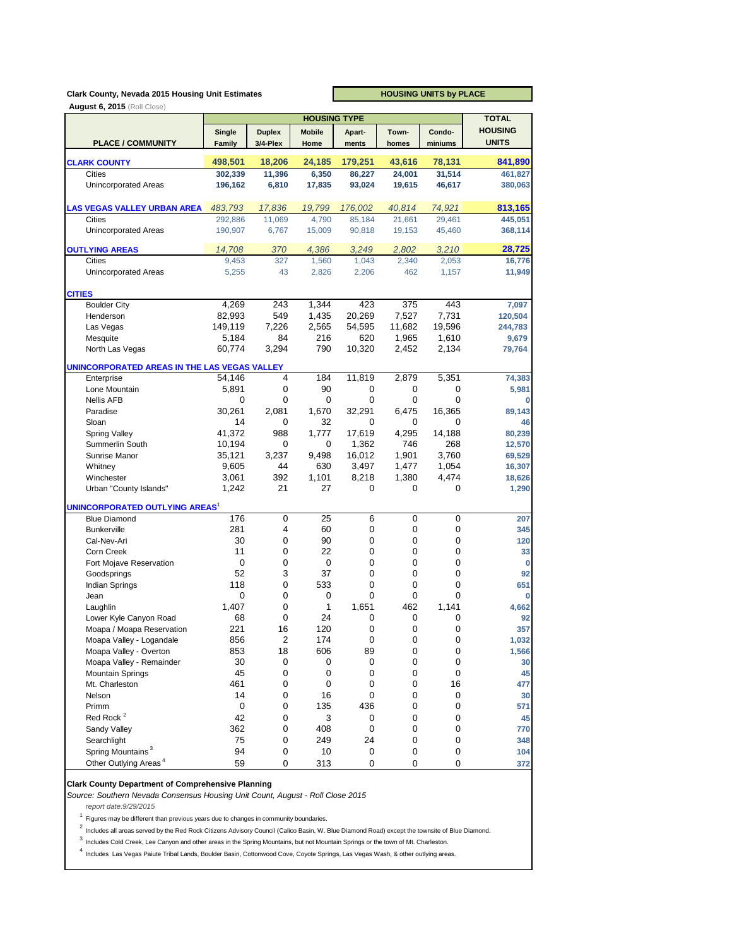## **Clark County, Nevada 2015 Housing Unit Estimates**

**HOUSING UNITS by PLACE**

|                                              |         |               | <b>TOTAL</b>     |           |           |             |                |
|----------------------------------------------|---------|---------------|------------------|-----------|-----------|-------------|----------------|
|                                              | Single  | <b>Duplex</b> | <b>Mobile</b>    | Apart-    | Town-     | Condo-      | <b>HOUSING</b> |
| <b>PLACE / COMMUNITY</b>                     | Family  | 3/4-Plex      | Home             | ments     | homes     | miniums     | <b>UNITS</b>   |
|                                              | 498,501 |               |                  |           | 43,616    |             |                |
| <b>CLARK COUNTY</b>                          |         | 18,206        | 24,185           | 179,251   |           | 78,131      | 841,890        |
| <b>Cities</b>                                | 302,339 | 11,396        | 6,350            | 86,227    | 24,001    | 31,514      | 461,827        |
| <b>Unincorporated Areas</b>                  | 196,162 | 6,810         | 17,835           | 93,024    | 19,615    | 46,617      | 380,063        |
| <b>LAS VEGAS VALLEY URBAN AREA</b>           | 483,793 | 17,836        | 19,799           | 176,002   | 40,814    | 74,921      | 813,165        |
| Cities                                       | 292,886 | 11,069        | 4,790            | 85,184    | 21,661    | 29,461      | 445,051        |
| <b>Unincorporated Areas</b>                  | 190,907 | 6,767         | 15,009           | 90,818    | 19,153    | 45,460      | 368,114        |
| <b>OUTLYING AREAS</b>                        | 14,708  | 370           | 4,386            | 3,249     | 2,802     | 3,210       | 28,725         |
| Cities                                       | 9,453   | 327           | 1,560            | 1,043     | 2,340     | 2,053       | 16,776         |
| <b>Unincorporated Areas</b>                  | 5,255   | 43            | 2,826            | 2,206     | 462       | 1,157       | 11,949         |
| <b>CITIES</b>                                |         |               |                  |           |           |             |                |
| <b>Boulder City</b>                          | 4,269   | 243           | 1,344            | 423       | 375       | 443         | 7,097          |
| Henderson                                    | 82,993  | 549           | 1,435            | 20,269    | 7,527     | 7,731       | 120,504        |
| Las Vegas                                    | 149,119 | 7,226         | 2,565            | 54,595    | 11,682    | 19,596      | 244,783        |
| Mesquite                                     | 5,184   | 84            | 216              | 620       | 1,965     | 1,610       | 9,679          |
| North Las Vegas                              | 60,774  | 3,294         | 790              | 10,320    | 2,452     | 2,134       | 79,764         |
| UNINCORPORATED AREAS IN THE LAS VEGAS VALLEY |         |               |                  |           |           |             |                |
| Enterprise                                   | 54,146  | 4             | 184              | 11,819    | 2,879     | 5,351       | 74,383         |
| Lone Mountain                                | 5,891   | 0             | 90               | 0         | 0         | 0           | 5,981          |
| <b>Nellis AFB</b>                            | 0       | 0             | 0                | 0         | 0         | $\mathbf 0$ | O              |
| Paradise                                     | 30,261  | 2.081         | 1,670            | 32,291    | 6,475     | 16,365      | 89,143         |
| Sloan                                        | 14      | 0             | 32               | 0         | 0         | 0           | 46             |
| <b>Spring Valley</b>                         | 41,372  | 988           | 1,777            | 17,619    | 4,295     | 14,188      | 80,239         |
| Summerlin South                              | 10,194  | 0             | 0                | 1,362     | 746       | 268         | 12,570         |
| Sunrise Manor                                | 35,121  | 3,237         | 9,498            | 16,012    | 1,901     | 3,760       | 69,529         |
| Whitney                                      | 9,605   | 44            | 630              | 3,497     | 1,477     | 1,054       | 16,307         |
| Winchester                                   | 3,061   | 392           | 1,101            | 8,218     | 1,380     | 4,474       | 18,626         |
| Urban "County Islands"                       | 1,242   | 21            | 27               | 0         | 0         | 0           | 1,290          |
| UNINCORPORATED OUTLYING AREAS <sup>1</sup>   |         |               |                  |           |           |             |                |
| <b>Blue Diamond</b>                          | 176     | 0             | 25               | 6         | 0         | 0           | 207            |
| <b>Bunkerville</b>                           | 281     | 4             | 60               | 0         | 0         | 0           | 345            |
| Cal-Nev-Ari                                  | 30      | 0             | 90               | 0         | 0         | 0           | 120            |
| Corn Creek                                   | 11      | 0             | 22               | 0         | 0         | 0           | 33             |
| Fort Mojave Reservation                      | 0       | 0             | 0                | 0         | 0         | 0           | O              |
| Goodsprings                                  | 52      | 3             | 37               | 0         | 0         | $\mathbf 0$ | 92             |
| <b>Indian Springs</b>                        | 118     | 0             | 533              | 0         | 0         | 0           | 651            |
| Jean                                         | 0       | 0             | 0                | 0         | 0         | $\mathbf 0$ | 0              |
| Laughlin                                     | 1,407   | 0             | 1                | 1,651     | 462       | 1,141       | 4,662          |
| Lower Kyle Canyon Road                       | 68      | 0             | 24               | 0         | 0         | 0           | 92             |
| Moapa / Moapa Reservation                    | 221     | 16            | 120              | 0         | 0         | 0           | 357            |
| Moapa Valley - Logandale                     | 856     | $\mathbf{z}$  | 174              | $\cup$    | O         | $\cup$      | 1,032          |
| Moapa Valley - Overton                       | 853     | 18            | 606              | 89        | $\pmb{0}$ | 0           | 1,566          |
| Moapa Valley - Remainder                     | 30      | 0             | 0                | 0         | 0         | 0           | 30             |
| <b>Mountain Springs</b>                      | 45      | 0             | $\boldsymbol{0}$ | $\pmb{0}$ | 0         | 0           | 45             |
| Mt. Charleston                               | 461     | 0             | 0                | 0         | 0         | 16          | 477            |
| Nelson                                       | 14      | 0             | 16               | 0         | 0         | 0           | 30             |
| Primm                                        | 0       | 0             | 135              | 436       | 0         | 0           | 571            |
| Red Rock <sup>2</sup>                        | 42      | 0             | 3                | 0         | 0         | 0           | 45             |
| Sandy Valley                                 | 362     | 0             | 408              | 0         | 0         | 0           | 770            |
| Searchlight                                  | 75      | 0             | 249              | 24        | 0         | 0           | 348            |
| Spring Mountains <sup>3</sup>                | 94      | 0             | 10               | 0         | 0         | 0           | 104            |
| Other Outlying Areas <sup>4</sup>            | 59      | 0             | 313              | 0         | 0         | 0           | 372            |

#### **Clark County Department of Comprehensive Planning**

*Source: Southern Nevada Consensus Housing Unit Count, August - Roll Close 2015*

*report date:9/29/2015*

 $1$  Figures may be different than previous years due to changes in community boundaries.

<sup>2</sup> Includes all areas served by the Red Rock Citizens Advisory Council (Calico Basin, W. Blue Diamond Road) except the townsite of Blue Diamond.

 $3$  Includes Cold Creek, Lee Canyon and other areas in the Spring Mountains, but not Mountain Springs or the town of Mt. Charleston.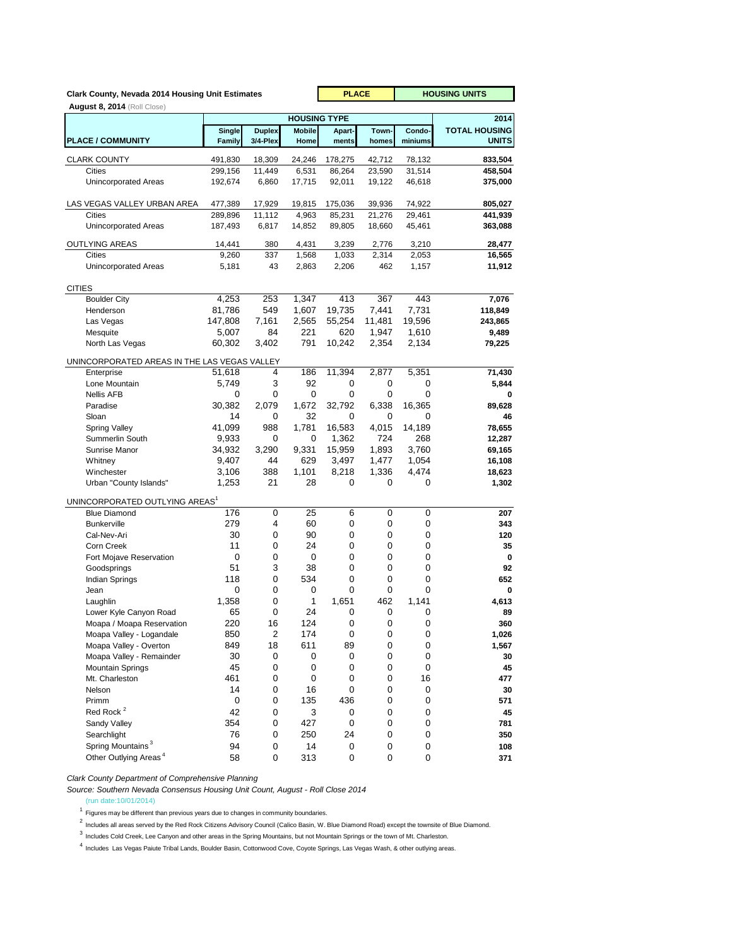| Clark County, Nevada 2014 Housing Unit Estimates |                         | <b>PLACE</b>              |                       | <b>HOUSING UNITS</b> |                |                   |                                      |
|--------------------------------------------------|-------------------------|---------------------------|-----------------------|----------------------|----------------|-------------------|--------------------------------------|
| <b>August 8, 2014</b> (Roll Close)               |                         |                           |                       |                      |                |                   |                                      |
|                                                  |                         |                           | <b>HOUSING TYPE</b>   |                      |                |                   | 2014                                 |
| <b>PLACE / COMMUNITY</b>                         | Single<br><b>Family</b> | <b>Duplex</b><br>3/4-Plex | <b>Mobile</b><br>Home | Apart-<br>ments      | Town-<br>homes | Condo-<br>miniums | <b>TOTAL HOUSING</b><br><b>UNITS</b> |
| <b>CLARK COUNTY</b>                              | 491,830                 | 18,309                    | 24,246                | 178,275              | 42,712         | 78,132            | 833,504                              |
| Cities                                           | 299,156                 | 11,449                    | 6,531                 | 86,264               | 23,590         | 31,514            | 458,504                              |
| <b>Unincorporated Areas</b>                      | 192,674                 | 6,860                     | 17,715                | 92,011               | 19,122         | 46,618            | 375,000                              |
| LAS VEGAS VALLEY URBAN AREA                      | 477,389                 | 17,929                    | 19,815                | 175,036              | 39,936         | 74,922            | 805,027                              |
| Cities                                           | 289,896                 | 11,112                    | 4,963                 | 85,231               | 21,276         | 29,461            | 441,939                              |
| <b>Unincorporated Areas</b>                      | 187,493                 | 6,817                     | 14,852                | 89,805               | 18,660         | 45,461            | 363,088                              |
| <b>OUTLYING AREAS</b>                            | 14,441                  | 380                       | 4,431                 | 3,239                | 2,776          | 3,210             | 28,477                               |
| <b>Cities</b>                                    | 9.260                   | 337                       | 1,568                 | 1,033                | 2,314          | 2,053             | 16,565                               |
| <b>Unincorporated Areas</b>                      | 5,181                   | 43                        | 2,863                 | 2,206                | 462            | 1,157             | 11,912                               |
| <b>CITIES</b>                                    |                         |                           |                       |                      |                |                   |                                      |
| <b>Boulder City</b>                              | 4,253                   | 253                       | 1,347                 | 413                  | 367            | 443               | 7,076                                |
| Henderson                                        | 81,786                  | 549                       | 1,607                 | 19,735               | 7,441          | 7,731             | 118,849                              |
| Las Vegas                                        | 147,808                 | 7,161                     | 2,565                 | 55,254               | 11,481         | 19,596            | 243,865                              |
| Mesquite                                         | 5,007                   | 84                        | 221                   | 620                  | 1,947          | 1,610             | 9,489                                |
| North Las Vegas                                  | 60,302                  | 3,402                     | 791                   | 10,242               | 2,354          | 2,134             | 79,225                               |
| UNINCORPORATED AREAS IN THE LAS VEGAS VALLEY     |                         |                           |                       |                      |                |                   |                                      |
| Enterprise                                       | 51,618                  | 4                         | 186                   | 11,394               | 2,877          | 5,351             | 71,430                               |
| Lone Mountain                                    | 5,749                   | 3                         | 92                    | 0                    | 0              | 0                 | 5,844                                |
| Nellis AFB                                       | 0                       | 0<br>2,079                | 0<br>1,672            | 0<br>32,792          | 0              | 0<br>16,365       | 0                                    |
| Paradise<br>Sloan                                | 30,382<br>14            | 0                         | 32                    | 0                    | 6,338<br>0     | 0                 | 89,628<br>46                         |
| <b>Spring Valley</b>                             | 41,099                  | 988                       | 1,781                 | 16,583               | 4,015          | 14,189            | 78,655                               |
| Summerlin South                                  | 9,933                   | 0                         | 0                     | 1,362                | 724            | 268               | 12,287                               |
| Sunrise Manor                                    | 34,932                  | 3,290                     | 9,331                 | 15,959               | 1,893          | 3,760             | 69,165                               |
| Whitney                                          | 9,407                   | 44                        | 629                   | 3,497                | 1,477          | 1,054             | 16,108                               |
| Winchester                                       | 3,106                   | 388                       | 1,101                 | 8,218                | 1,336          | 4,474             | 18,623                               |
| Urban "County Islands"                           | 1,253                   | 21                        | 28                    | 0                    | 0              | 0                 | 1,302                                |
| UNINCORPORATED OUTLYING AREAS <sup>1</sup>       |                         |                           |                       |                      |                |                   |                                      |
| <b>Blue Diamond</b>                              | 176                     | 0                         | 25                    | 6                    | 0              | 0                 | 207                                  |
| <b>Bunkerville</b>                               | 279                     | 4                         | 60                    | 0                    | 0              | 0                 | 343                                  |
| Cal-Nev-Ari                                      | 30                      | 0                         | 90                    | 0                    | 0              | 0                 | 120                                  |
| Corn Creek                                       | 11<br>0                 | 0<br>0                    | 24<br>0               | 0<br>0               | 0<br>0         | 0<br>0            | 35<br>0                              |
| Fort Mojave Reservation<br>Goodsprings           | 51                      | 3                         | 38                    | 0                    | 0              | 0                 | 92                                   |
| Indian Springs                                   | 118                     | 0                         | 534                   | 0                    | 0              | 0                 | 652                                  |
| Jean                                             | 0                       | 0                         | 0                     | 0                    | 0              | 0                 | 0                                    |
| Laughlin                                         | 1,358                   | 0                         | 1                     | 1,651                | 462            | 1,141             | 4,613                                |
| Lower Kyle Canyon Road                           | 65                      | 0                         | 24                    | 0                    | 0              | 0                 | 89                                   |
| Moapa / Moapa Reservation                        | 220                     | 16                        | 124                   | 0                    | 0              | 0                 | 360                                  |
| Moapa Valley - Logandale                         | 850                     | $\overline{\mathbf{c}}$   | 174                   | 0                    | 0              | 0                 | 1,026                                |
| Moapa Valley - Overton                           | 849                     | 18                        | 611                   | 89                   | $\pmb{0}$      | 0                 | 1,567                                |
| Moapa Valley - Remainder                         | 30                      | 0                         | 0                     | 0                    | 0              | 0                 | 30                                   |
| <b>Mountain Springs</b><br>Mt. Charleston        | 45<br>461               | 0<br>0                    | 0<br>0                | 0<br>0               | 0<br>0         | 0<br>16           | 45<br>477                            |
| Nelson                                           | 14                      | 0                         | 16                    | 0                    | 0              | 0                 | 30                                   |
| Primm                                            | 0                       | 0                         | 135                   | 436                  | 0              | 0                 | 571                                  |
| Red Rock <sup>2</sup>                            | 42                      | 0                         | 3                     | 0                    | 0              | 0                 | 45                                   |
| Sandy Valley                                     | 354                     | 0                         | 427                   | 0                    | 0              | 0                 | 781                                  |
| Searchlight                                      | 76                      | 0                         | 250                   | 24                   | 0              | 0                 | 350                                  |
| Spring Mountains <sup>3</sup>                    | 94                      | 0                         | 14                    | 0                    | 0              | 0                 | 108                                  |
| Other Outlying Areas <sup>4</sup>                | 58                      | 0                         | 313                   | $\pmb{0}$            | 0              | 0                 | 371                                  |

*Clark County Department of Comprehensive Planning*

*Source: Southern Nevada Consensus Housing Unit Count, August - Roll Close 2014*

(run date:10/01/2014)

 $1$  Figures may be different than previous years due to changes in community boundaries.

2<br>Includes all areas served by the Red Rock Citizens Advisory Council (Calico Basin, W. Blue Diamond Road) except the townsite of Blue Diamond.

<sup>3</sup> Includes Cold Creek, Lee Canyon and other areas in the Spring Mountains, but not Mountain Springs or the town of Mt. Charleston.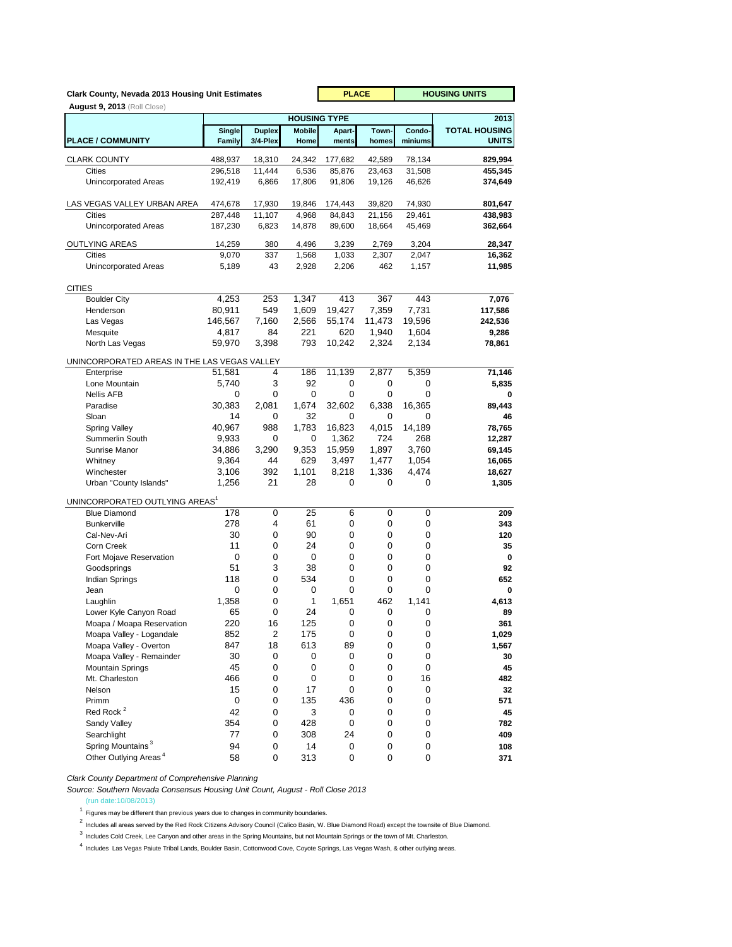| Clark County, Nevada 2013 Housing Unit Estimates |                         | <b>PLACE</b>              |                       | <b>HOUSING UNITS</b> |                  |                   |                                      |
|--------------------------------------------------|-------------------------|---------------------------|-----------------------|----------------------|------------------|-------------------|--------------------------------------|
| <b>August 9, 2013</b> (Roll Close)               |                         |                           |                       |                      |                  |                   |                                      |
|                                                  |                         |                           | <b>HOUSING TYPE</b>   |                      |                  |                   | 2013                                 |
| <b>PLACE / COMMUNITY</b>                         | Single<br><b>Family</b> | <b>Duplex</b><br>3/4-Plex | <b>Mobile</b><br>Home | Apart-<br>ments      | Town-<br>homes   | Condo-<br>miniums | <b>TOTAL HOUSING</b><br><b>UNITS</b> |
| <b>CLARK COUNTY</b>                              | 488,937                 | 18,310                    | 24,342                | 177,682              | 42,589           | 78,134            | 829,994                              |
| Cities                                           | 296,518                 | 11,444                    | 6,536                 | 85,876               | 23,463           | 31,508            | 455,345                              |
| <b>Unincorporated Areas</b>                      | 192,419                 | 6,866                     | 17,806                | 91,806               | 19,126           | 46,626            | 374,649                              |
|                                                  |                         |                           |                       |                      |                  |                   |                                      |
| LAS VEGAS VALLEY URBAN AREA<br>Cities            | 474,678<br>287,448      | 17,930<br>11,107          | 19,846<br>4,968       | 174,443<br>84,843    | 39,820<br>21,156 | 74,930<br>29,461  | 801,647                              |
| <b>Unincorporated Areas</b>                      | 187,230                 | 6,823                     | 14,878                | 89,600               | 18,664           | 45,469            | 438,983<br>362,664                   |
|                                                  |                         |                           |                       |                      |                  |                   |                                      |
| <b>OUTLYING AREAS</b>                            | 14,259                  | 380                       | 4,496                 | 3,239                | 2,769            | 3,204             | 28,347                               |
| <b>Cities</b>                                    | 9,070                   | 337<br>43                 | 1,568                 | 1,033                | 2,307<br>462     | 2,047             | 16,362                               |
| <b>Unincorporated Areas</b>                      | 5,189                   |                           | 2,928                 | 2,206                |                  | 1,157             | 11,985                               |
| <b>CITIES</b>                                    |                         |                           |                       |                      |                  |                   |                                      |
| <b>Boulder City</b>                              | 4,253                   | 253                       | 1,347                 | 413                  | 367              | 443               | 7,076                                |
| Henderson                                        | 80,911                  | 549                       | 1,609                 | 19,427               | 7,359            | 7,731             | 117,586                              |
| Las Vegas                                        | 146,567                 | 7,160                     | 2,566                 | 55,174               | 11,473           | 19,596            | 242,536                              |
| Mesquite                                         | 4,817                   | 84                        | 221                   | 620                  | 1,940            | 1,604             | 9,286                                |
| North Las Vegas                                  | 59,970                  | 3,398                     | 793                   | 10,242               | 2,324            | 2,134             | 78,861                               |
| UNINCORPORATED AREAS IN THE LAS VEGAS VALLEY     |                         |                           |                       |                      |                  |                   |                                      |
| Enterprise                                       | 51,581                  | 4                         | 186                   | 11,139               | 2,877            | 5,359             | 71,146                               |
| Lone Mountain                                    | 5,740                   | 3                         | 92                    | 0                    | 0                | 0                 | 5,835                                |
| <b>Nellis AFB</b>                                | 0                       | 0                         | 0                     | 0                    | 0                | 0                 | 0                                    |
| Paradise                                         | 30,383                  | 2,081                     | 1,674                 | 32,602               | 6.338            | 16,365            | 89,443                               |
| Sloan                                            | 14<br>40,967            | 0<br>988                  | 32<br>1,783           | 0<br>16,823          | 0<br>4,015       | 0<br>14,189       | 46                                   |
| Spring Valley<br>Summerlin South                 | 9,933                   | 0                         | 0                     | 1,362                | 724              | 268               | 78,765<br>12,287                     |
| Sunrise Manor                                    | 34,886                  | 3,290                     | 9,353                 | 15,959               | 1,897            | 3,760             | 69,145                               |
| Whitney                                          | 9,364                   | 44                        | 629                   | 3,497                | 1,477            | 1,054             | 16,065                               |
| Winchester                                       | 3,106                   | 392                       | 1,101                 | 8,218                | 1,336            | 4,474             | 18,627                               |
| Urban "County Islands"                           | 1,256                   | 21                        | 28                    | 0                    | 0                | 0                 | 1,305                                |
| UNINCORPORATED OUTLYING AREAS <sup>1</sup>       |                         |                           |                       |                      |                  |                   |                                      |
| <b>Blue Diamond</b>                              | 178                     | 0                         | 25                    | 6                    | 0                | 0                 | 209                                  |
| <b>Bunkerville</b>                               | 278                     | 4                         | 61                    | 0                    | 0                | 0                 | 343                                  |
| Cal-Nev-Ari                                      | 30                      | 0                         | 90                    | 0                    | 0                | 0                 | 120                                  |
| Corn Creek                                       | 11                      | 0                         | 24                    | 0                    | 0                | 0                 | 35                                   |
| Fort Mojave Reservation                          | 0                       | 0                         | 0                     | 0                    | 0                | 0                 | 0                                    |
| Goodsprings                                      | 51                      | 3                         | 38                    | 0                    | 0                | 0                 | 92                                   |
| Indian Springs                                   | 118                     | 0<br>0                    | 534<br>0              | 0<br>0               | 0<br>0           | 0<br>0            | 652                                  |
| Jean<br>Laughlin                                 | 0<br>1,358              | 0                         | 1                     | 1,651                | 462              | 1,141             | 0<br>4,613                           |
| Lower Kyle Canyon Road                           | 65                      | 0                         | 24                    | 0                    | 0                | 0                 | 89                                   |
| Moapa / Moapa Reservation                        | 220                     | 16                        | 125                   | 0                    | 0                | 0                 | 361                                  |
| Moapa Valley - Logandale                         | 852                     | 2                         | 175                   | 0                    | $\pmb{0}$        | 0                 | 1,029                                |
| Moapa Valley - Overton                           | 847                     | 18                        | 613                   | 89                   | $\pmb{0}$        | 0                 | 1,567                                |
| Moapa Valley - Remainder                         | 30                      | 0                         | 0                     | 0                    | 0                | 0                 | 30                                   |
| <b>Mountain Springs</b>                          | 45                      | 0                         | 0                     | 0                    | 0                | 0                 | 45                                   |
| Mt. Charleston                                   | 466                     | 0                         | 0                     | 0                    | 0                | 16                | 482                                  |
| Nelson                                           | 15                      | 0                         | 17                    | 0                    | 0                | 0                 | 32                                   |
| Primm<br>Red Rock <sup>2</sup>                   | 0<br>42                 | 0                         | 135<br>3              | 436                  | 0                | 0                 | 571                                  |
| Sandy Valley                                     | 354                     | 0<br>0                    | 428                   | 0<br>0               | 0<br>0           | 0<br>0            | 45<br>782                            |
| Searchlight                                      | 77                      | 0                         | 308                   | 24                   | $\pmb{0}$        | 0                 | 409                                  |
| Spring Mountains <sup>3</sup>                    | 94                      | 0                         | 14                    | 0                    | $\pmb{0}$        | 0                 | 108                                  |
| Other Outlying Areas <sup>4</sup>                | 58                      | 0                         | 313                   | 0                    | 0                | 0                 | 371                                  |

*Clark County Department of Comprehensive Planning*

*Source: Southern Nevada Consensus Housing Unit Count, August - Roll Close 2013*

(run date:10/08/2013)

 $1$  Figures may be different than previous years due to changes in community boundaries.

2<br>Includes all areas served by the Red Rock Citizens Advisory Council (Calico Basin, W. Blue Diamond Road) except the townsite of Blue Diamond.

<sup>3</sup> Includes Cold Creek, Lee Canyon and other areas in the Spring Mountains, but not Mountain Springs or the town of Mt. Charleston.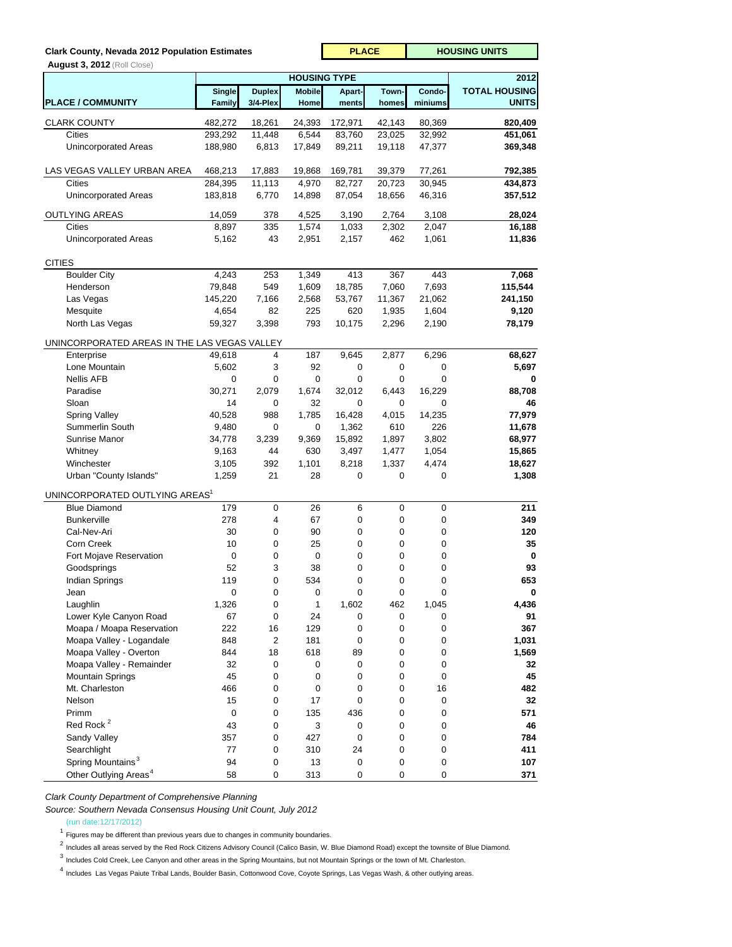## **Clark County, Nevada 2012 Population Estimates**

 **August 3, 2012** (Roll Close)

| $\frac{1}{2}$                                |                    |                  | 2012                                 |                   |                  |                  |                      |
|----------------------------------------------|--------------------|------------------|--------------------------------------|-------------------|------------------|------------------|----------------------|
|                                              | Single             | <b>Duplex</b>    | <b>HOUSING TYPE</b><br><b>Mobile</b> | Apart-            | Town-            | Condo-           | <b>TOTAL HOUSING</b> |
| <b>PLACE / COMMUNITY</b>                     | Family             | 3/4-Plex         | Home                                 | ments             | homes            | miniums          | <b>UNITS</b>         |
| <b>CLARK COUNTY</b>                          | 482,272            | 18,261           | 24,393                               | 172,971           | 42,143           | 80,369           | 820,409              |
| <b>Cities</b>                                | 293,292            | 11,448           | 6,544                                | 83,760            | 23,025           | 32,992           | 451,061              |
| <b>Unincorporated Areas</b>                  | 188,980            | 6,813            | 17,849                               | 89,211            | 19,118           | 47,377           | 369,348              |
|                                              |                    |                  |                                      |                   |                  |                  |                      |
| LAS VEGAS VALLEY URBAN AREA<br>Cities        | 468,213<br>284,395 | 17,883<br>11,113 | 19,868<br>4,970                      | 169,781<br>82,727 | 39,379<br>20,723 | 77,261<br>30,945 | 792,385<br>434,873   |
| Unincorporated Areas                         | 183,818            | 6,770            | 14,898                               | 87,054            | 18,656           | 46,316           | 357,512              |
| <b>OUTLYING AREAS</b>                        | 14,059             | 378              | 4,525                                | 3,190             | 2,764            | 3,108            | 28,024               |
| Cities                                       | 8,897              | 335              | 1,574                                | 1,033             | 2,302            | 2,047            | 16,188               |
| Unincorporated Areas                         | 5,162              | 43               | 2,951                                | 2,157             | 462              | 1,061            | 11,836               |
|                                              |                    |                  |                                      |                   |                  |                  |                      |
| <b>CITIES</b><br><b>Boulder City</b>         | 4,243              | 253              | 1,349                                | 413               | 367              | 443              | 7,068                |
| Henderson                                    | 79,848             | 549              | 1,609                                | 18,785            | 7,060            | 7,693            | 115,544              |
| Las Vegas                                    | 145,220            | 7,166            | 2,568                                | 53,767            | 11,367           | 21,062           | 241,150              |
| Mesquite                                     | 4,654              | 82               | 225                                  | 620               | 1,935            | 1,604            | 9,120                |
| North Las Vegas                              | 59,327             | 3,398            | 793                                  | 10,175            | 2,296            | 2,190            | 78,179               |
|                                              |                    |                  |                                      |                   |                  |                  |                      |
| UNINCORPORATED AREAS IN THE LAS VEGAS VALLEY |                    | 4                | 187                                  | 9,645             | 2,877            | 6,296            |                      |
| Enterprise<br>Lone Mountain                  | 49,618<br>5,602    | 3                | 92                                   | 0                 | 0                | 0                | 68,627<br>5,697      |
| <b>Nellis AFB</b>                            | 0                  | 0                | 0                                    | 0                 | 0                | $\mathbf 0$      | 0                    |
| Paradise                                     | 30,271             | 2,079            | 1,674                                | 32,012            | 6,443            | 16,229           | 88,708               |
| Sloan                                        | 14                 | 0                | 32                                   | 0                 | 0                | 0                | 46                   |
| <b>Spring Valley</b>                         | 40,528             | 988              | 1,785                                | 16,428            | 4,015            | 14,235           | 77,979               |
| Summerlin South                              | 9,480              | 0                | 0                                    | 1,362             | 610              | 226              | 11,678               |
| Sunrise Manor                                | 34,778             | 3,239            | 9,369                                | 15,892            | 1,897            | 3,802            | 68,977               |
| Whitney                                      | 9,163              | 44               | 630                                  | 3,497             | 1,477            | 1,054            | 15,865               |
| Winchester                                   | 3,105              | 392              | 1,101                                | 8,218             | 1,337            | 4,474            | 18,627               |
| Urban "County Islands"                       | 1,259              | 21               | 28                                   | 0                 | 0                | $\mathbf 0$      | 1,308                |
| UNINCORPORATED OUTLYING AREAS <sup>1</sup>   |                    |                  |                                      |                   |                  |                  |                      |
| <b>Blue Diamond</b>                          | 179                | 0                | 26                                   | 6                 | 0                | 0                | 211                  |
| <b>Bunkerville</b>                           | 278                | 4                | 67                                   | 0                 | 0                | 0                | 349                  |
| Cal-Nev-Ari                                  | 30                 | 0                | 90                                   | 0                 | 0                | 0                | 120                  |
| Corn Creek                                   | 10                 | 0                | 25                                   | 0                 | 0                | 0                | 35                   |
| Fort Mojave Reservation                      | 0                  | 0                | 0                                    | 0                 | 0                | 0                | 0                    |
| Goodsprings                                  | 52                 | 3                | 38                                   | 0                 | 0                | 0                | 93                   |
| Indian Springs                               | 119                | 0                | 534                                  | 0                 | 0                | $\mathbf 0$      | 653                  |
| Jean                                         | 0                  | 0                | 0                                    | 0                 | $\mathbf 0$      | $\mathbf 0$      | 0                    |
| Laughlin                                     | 1,326              | 0                | 1                                    | 1,602             | 462              | 1,045            | 4,436                |
| Lower Kyle Canyon Road                       | 67                 | 0                | 24                                   | 0                 | 0                | 0                | 91                   |
| Moapa / Moapa Reservation                    | 222                | 16               | 129                                  | 0                 | 0                | 0                | 367                  |
| Moapa Valley - Logandale                     | 848                | 2                | 181                                  | 0                 | 0                | 0                | 1,031                |
| Moapa Valley - Overton                       | 844                | 18               | 618                                  | 89                | 0                | 0                | 1,569                |
| Moapa Valley - Remainder                     | 32                 | 0                | 0                                    | 0                 | 0                | 0                | 32                   |
| <b>Mountain Springs</b>                      | 45                 | 0                | 0                                    | 0                 | 0                | 0                | 45                   |
| Mt. Charleston                               | 466                | 0                | 0                                    | 0                 | 0                | 16               | 482                  |
| Nelson                                       | 15                 | 0                | 17                                   | 0                 | 0                | 0                | 32                   |
| Primm                                        | 0                  | 0                | 135                                  | 436               | 0                | 0                | 571                  |
| Red Rock <sup>2</sup>                        | 43                 | 0                | 3                                    | 0                 | 0                | 0                | 46                   |
| Sandy Valley                                 | 357                | 0                | 427                                  | 0                 | 0                | 0                | 784                  |
| Searchlight                                  | 77                 | 0                | 310                                  | 24                | 0                | 0                | 411                  |
| Spring Mountains <sup>3</sup>                | 94                 | 0                | 13                                   | 0                 | 0                | 0                | 107                  |
| Other Outlying Areas <sup>4</sup>            | 58                 | 0                | 313                                  | 0                 | 0                | 0                | 371                  |

**PLACE** | HOUSING UNITS

*Clark County Department of Comprehensive Planning*

*Source: Southern Nevada Consensus Housing Unit Count, July 2012*

(run date:12/17/2012)

 $1$  Figures may be different than previous years due to changes in community boundaries.

<sup>2</sup> Includes all areas served by the Red Rock Citizens Advisory Council (Calico Basin, W. Blue Diamond Road) except the townsite of Blue Diamond.

3 Includes Cold Creek, Lee Canyon and other areas in the Spring Mountains, but not Mountain Springs or the town of Mt. Charleston.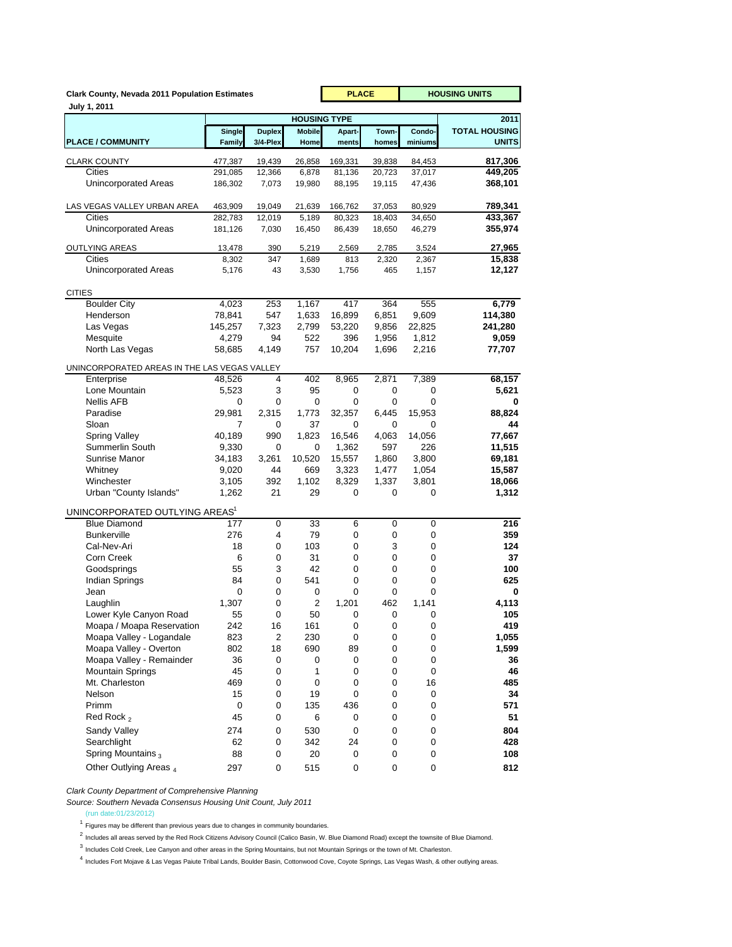|                                              | <b>Clark County, Nevada 2011 Population Estimates</b> |                           |                                      |                 |                | <b>HOUSING UNITS</b> |                              |
|----------------------------------------------|-------------------------------------------------------|---------------------------|--------------------------------------|-----------------|----------------|----------------------|------------------------------|
| July 1, 2011                                 |                                                       |                           |                                      |                 |                |                      |                              |
|                                              |                                                       |                           | <b>HOUSING TYPE</b><br><b>Mobile</b> |                 | Town-          | Condo-               | 2011<br><b>TOTAL HOUSING</b> |
| <b>PLACE / COMMUNITY</b>                     | Single<br>Family                                      | <b>Duplex</b><br>3/4-Plex | Home                                 | Apart-<br>ments | homes          | miniums              | <b>UNITS</b>                 |
| <b>CLARK COUNTY</b>                          | 477,387                                               | 19,439                    | 26,858                               | 169,331         | 39,838         | 84.453               | 817,306                      |
| Cities                                       | 291,085                                               | 12,366                    | 6,878                                | 81,136          | 20,723         | 37,017               | 449,205                      |
| Unincorporated Areas                         | 186,302                                               | 7,073                     | 19,980                               | 88,195          | 19,115         | 47,436               | 368,101                      |
|                                              |                                                       |                           |                                      |                 |                |                      |                              |
| LAS VEGAS VALLEY URBAN AREA                  | 463,909                                               | 19,049                    | 21,639                               | 166,762         | 37,053         | 80,929               | 789,341                      |
| Cities                                       | 282,783                                               | 12,019                    | 5,189                                | 80,323          | 18,403         | 34,650               | 433,367                      |
| <b>Unincorporated Areas</b>                  | 181,126                                               | 7,030                     | 16,450                               | 86,439          | 18,650         | 46,279               | 355,974                      |
| <b>OUTLYING AREAS</b>                        | 13,478                                                | 390                       | 5,219                                | 2,569           | 2,785          | 3,524                | 27,965                       |
| Cities                                       | 8,302                                                 | 347                       | 1,689                                | 813             | 2,320          | 2,367                | 15,838                       |
| Unincorporated Areas                         | 5,176                                                 | 43                        | 3,530                                | 1,756           | 465            | 1,157                | 12,127                       |
|                                              |                                                       |                           |                                      |                 |                |                      |                              |
| <b>CITIES</b>                                |                                                       |                           |                                      |                 |                |                      |                              |
| <b>Boulder City</b>                          | 4,023                                                 | 253                       | 1,167                                | 417             | 364            | 555                  | 6,779                        |
| Henderson                                    | 78,841                                                | 547<br>7,323              | 1,633                                | 16,899          | 6,851          | 9,609<br>22,825      | 114,380                      |
| Las Vegas<br>Mesquite                        | 145,257<br>4,279                                      | 94                        | 2,799<br>522                         | 53,220<br>396   | 9,856<br>1,956 | 1,812                | 241,280<br>9,059             |
| North Las Vegas                              | 58,685                                                | 4,149                     | 757                                  | 10,204          | 1,696          | 2,216                | 77,707                       |
|                                              |                                                       |                           |                                      |                 |                |                      |                              |
| UNINCORPORATED AREAS IN THE LAS VEGAS VALLEY |                                                       |                           |                                      |                 |                |                      |                              |
| Enterprise                                   | 48,526                                                | 4                         | 402                                  | 8,965           | 2,871          | 7,389                | 68,157                       |
| Lone Mountain                                | 5,523                                                 | 3                         | 95                                   | 0               | 0              | 0                    | 5,621                        |
| <b>Nellis AFB</b>                            | 0                                                     | 0                         | 0                                    | 0               | 0              | 0                    | 0                            |
| Paradise<br>Sloan                            | 29,981<br>7                                           | 2,315<br>0                | 1,773<br>37                          | 32,357<br>0     | 6,445<br>0     | 15,953<br>0          | 88,824<br>44                 |
|                                              |                                                       |                           |                                      |                 |                |                      |                              |
| <b>Spring Valley</b><br>Summerlin South      | 40,189                                                | 990<br>0                  | 1,823<br>0                           | 16,546<br>1,362 | 4,063<br>597   | 14,056<br>226        | 77,667<br>11,515             |
| Sunrise Manor                                | 9,330<br>34,183                                       | 3,261                     | 10,520                               | 15,557          | 1,860          | 3,800                | 69,181                       |
| Whitney                                      | 9,020                                                 | 44                        | 669                                  | 3,323           | 1,477          | 1,054                | 15,587                       |
| Winchester                                   | 3,105                                                 | 392                       | 1,102                                | 8,329           | 1,337          | 3,801                | 18,066                       |
| Urban "County Islands"                       | 1,262                                                 | 21                        | 29                                   | 0               | 0              | 0                    | 1,312                        |
|                                              |                                                       |                           |                                      |                 |                |                      |                              |
| UNINCORPORATED OUTLYING AREAS <sup>1</sup>   |                                                       |                           |                                      |                 |                |                      |                              |
| <b>Blue Diamond</b>                          | 177                                                   | 0                         | 33                                   | 6               | 0              | 0                    | 216                          |
| <b>Bunkerville</b>                           | 276                                                   | 4                         | 79                                   | 0               | 0              | 0                    | 359                          |
| Cal-Nev-Ari                                  | 18                                                    | 0                         | 103                                  | 0               | 3              | 0                    | 124                          |
| Corn Creek<br>Goodsprings                    | 6<br>55                                               | 0<br>3                    | 31<br>42                             | 0<br>0          | 0<br>0         | 0<br>0               | 37<br>100                    |
| Indian Springs                               | 84                                                    | $\mathbf 0$               | 541                                  | 0               | 0              | 0                    | 625                          |
| Jean                                         | 0                                                     | 0                         | 0                                    | 0               | 0              | 0                    | 0                            |
| Laughlin                                     | 1,307                                                 | 0                         | 2                                    | 1,201           | 462            | 1,141                | 4,113                        |
| Lower Kyle Canyon Road                       | 55                                                    | 0                         | 50                                   | 0               | 0              | 0                    | 105                          |
| Moapa / Moapa Reservation                    | 242                                                   | 16                        | 161                                  | 0               | 0              | 0                    | 419                          |
| Moapa Valley - Logandale                     | 823                                                   | $\overline{c}$            | 230                                  | 0               | 0              | $\pmb{0}$            | 1,055                        |
| Moapa Valley - Overton                       | 802                                                   | 18                        | 690                                  | 89              | 0              | 0                    | 1,599                        |
| Moapa Valley - Remainder                     | 36                                                    | 0                         | 0                                    | 0               | 0              | 0                    | 36                           |
| Mountain Springs                             | 45                                                    | 0                         | 1                                    | 0               | 0              | 0                    | 46                           |
| Mt. Charleston                               | 469                                                   | 0                         | 0                                    | 0               | 0              | 16                   | 485                          |
| Nelson                                       | 15                                                    | 0                         | 19                                   | 0               | 0              | 0                    | 34                           |
| Primm                                        | 0                                                     | 0                         | 135                                  | 436             | 0              | 0                    | 571                          |
| Red Rock <sub>2</sub>                        | 45                                                    | 0                         | 6                                    | 0               | 0              | 0                    | 51                           |
| Sandy Valley                                 | 274                                                   | 0                         | 530                                  | 0               | 0              | 0                    | 804                          |
| Searchlight                                  | 62                                                    | 0                         | 342                                  | 24              | 0              | 0                    | 428                          |
| Spring Mountains <sub>3</sub>                | 88                                                    | 0                         | 20                                   | 0               | 0              | 0                    | 108                          |
| Other Outlying Areas 4                       | 297                                                   | 0                         | 515                                  | 0               | 0              | 0                    | 812                          |

*Clark County Department of Comprehensive Planning*

*Source: Southern Nevada Consensus Housing Unit Count, July 2011*

(run date:01/23/2012)

 $1$  Figures may be different than previous years due to changes in community boundaries.

<sup>2</sup> Includes all areas served by the Red Rock Citizens Advisory Council (Calico Basin, W. Blue Diamond Road) except the townsite of Blue Diamond.

3 Includes Cold Creek, Lee Canyon and other areas in the Spring Mountains, but not Mountain Springs or the town of Mt. Charleston.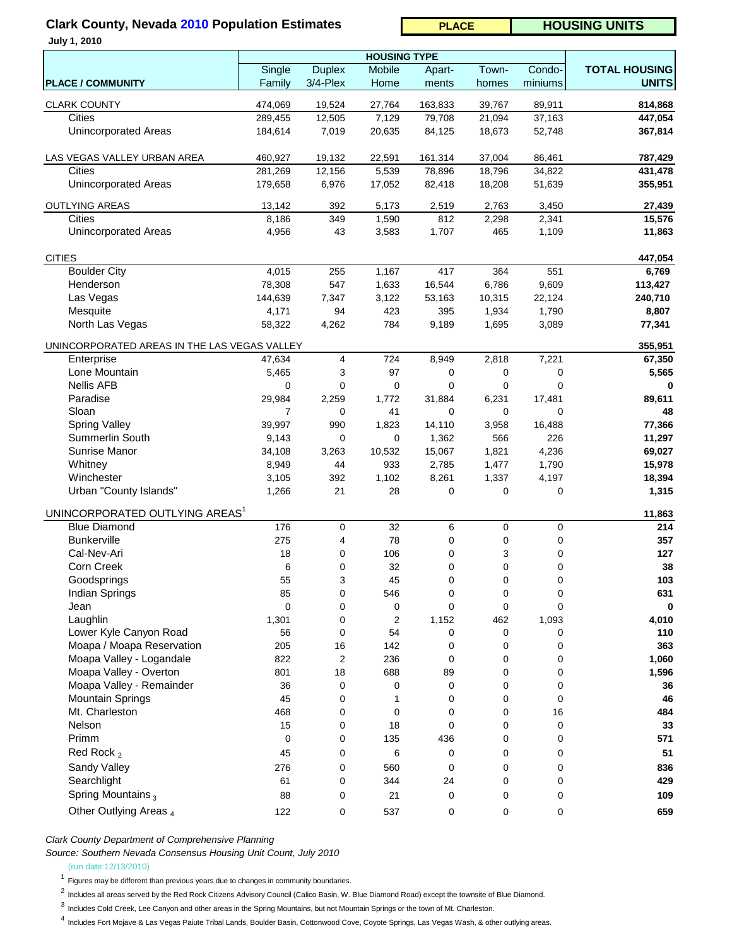# **Clark County, Nevada 2010 Population Estimates**

| <b>HOUSING UNITS</b><br><b>PLACE</b> |
|--------------------------------------|
|--------------------------------------|

|  |  | <b>July 1, 2010</b> |  |
|--|--|---------------------|--|
|--|--|---------------------|--|

|                                              | Single         | <b>Duplex</b> | <b>HOUSING TYPE</b><br>Mobile | Apart-      | Town-       | Condo-  | <b>TOTAL HOUSING</b> |
|----------------------------------------------|----------------|---------------|-------------------------------|-------------|-------------|---------|----------------------|
| <b>PLACE / COMMUNITY</b>                     | Family         | 3/4-Plex      | Home                          | ments       | homes       | miniums | <b>UNITS</b>         |
|                                              |                |               |                               |             |             |         |                      |
| <b>CLARK COUNTY</b>                          | 474,069        | 19,524        | 27,764                        | 163,833     | 39,767      | 89,911  | 814,868              |
| Cities                                       | 289,455        | 12,505        | 7,129                         | 79,708      | 21,094      | 37,163  | 447,054              |
| <b>Unincorporated Areas</b>                  | 184,614        | 7,019         | 20,635                        | 84,125      | 18,673      | 52,748  | 367,814              |
| LAS VEGAS VALLEY URBAN AREA                  | 460,927        | 19,132        | 22,591                        | 161,314     | 37,004      | 86,461  | 787,429              |
| <b>Cities</b>                                | 281,269        | 12,156        | 5,539                         | 78,896      | 18,796      | 34,822  | 431,478              |
| <b>Unincorporated Areas</b>                  | 179,658        | 6,976         | 17,052                        | 82,418      | 18,208      | 51,639  | 355,951              |
| <b>OUTLYING AREAS</b>                        | 13,142         | 392           | 5,173                         | 2,519       | 2,763       | 3,450   | 27,439               |
| Cities                                       | 8,186          | 349           | 1,590                         | 812         | 2,298       | 2,341   | 15,576               |
| <b>Unincorporated Areas</b>                  | 4,956          | 43            | 3,583                         | 1,707       | 465         | 1,109   | 11,863               |
| <b>CITIES</b>                                |                |               |                               |             |             |         | 447,054              |
| <b>Boulder City</b>                          | 4,015          | 255           | 1,167                         | 417         | 364         | 551     | 6,769                |
| Henderson                                    | 78,308         | 547           | 1,633                         | 16,544      | 6,786       | 9,609   | 113,427              |
| Las Vegas                                    | 144,639        | 7,347         | 3,122                         | 53,163      | 10,315      | 22,124  | 240,710              |
| Mesquite                                     | 4,171          | 94            | 423                           | 395         | 1,934       | 1,790   | 8,807                |
| North Las Vegas                              | 58,322         | 4,262         | 784                           | 9,189       | 1,695       | 3,089   | 77,341               |
| UNINCORPORATED AREAS IN THE LAS VEGAS VALLEY |                |               |                               |             |             |         | 355,951              |
| Enterprise                                   | 47,634         | 4             | 724                           | 8,949       | 2,818       | 7,221   | 67,350               |
| Lone Mountain                                | 5,465          | 3             | 97                            | 0           | $\pmb{0}$   | 0       | 5,565                |
| <b>Nellis AFB</b>                            | 0              | 0             | 0                             | 0           | $\mathbf 0$ | 0       |                      |
| Paradise                                     | 29,984         | 2,259         | 1,772                         | 31,884      | 6,231       | 17,481  | 89,611               |
| Sloan                                        | $\overline{7}$ | 0             | 41                            | 0           | 0           | 0       | 48                   |
| <b>Spring Valley</b>                         | 39,997         | 990           | 1,823                         | 14,110      | 3,958       | 16,488  | 77,366               |
| Summerlin South                              |                | $\mathbf 0$   | 0                             |             | 566         |         |                      |
|                                              | 9,143          |               |                               | 1,362       |             | 226     | 11,297               |
| Sunrise Manor                                | 34,108         | 3,263         | 10,532                        | 15,067      | 1,821       | 4,236   | 69,027               |
| Whitney                                      | 8,949          | 44            | 933                           | 2,785       | 1,477       | 1,790   | 15,978               |
| Winchester                                   | 3,105          | 392           | 1,102                         | 8,261       | 1,337       | 4,197   | 18,394               |
| Urban "County Islands"                       | 1,266          | 21            | 28                            | 0           | $\mathbf 0$ | 0       | 1,315                |
| UNINCORPORATED OUTLYING AREAS <sup>1</sup>   |                |               |                               |             |             |         | 11,863               |
| <b>Blue Diamond</b>                          | 176            | 0             | 32                            | 6           | $\pmb{0}$   | 0       | 214                  |
| <b>Bunkerville</b>                           | 275            | 4             | 78                            | 0           | $\pmb{0}$   | 0       | 357                  |
| Cal-Nev-Ari                                  | 18             | 0             | 106                           | 0           | 3           | 0       | 127                  |
| Corn Creek                                   | 6              | 0             | 32                            | 0           | $\mathbf 0$ | 0       | 38                   |
| Goodsprings                                  | 55             | 3             | 45                            | 0           | 0           | 0       | 103                  |
| Indian Springs                               | 85             | 0             | 546                           | 0           | $\mathbf 0$ | 0       | 631                  |
| Jean                                         | $\mathbf 0$    | 0             | 0                             | 0           | 0           | 0       | 0                    |
| Laughlin                                     | 1,301          | 0             | 2                             | 1,152       | 462         | 1,093   | 4,010                |
| Lower Kyle Canyon Road                       | 56             | 0             | 54                            | 0           | 0           | 0       | 110                  |
| Moapa / Moapa Reservation                    | 205            | 16            | 142                           | 0           | $\mathbf 0$ | 0       | 363                  |
| Moapa Valley - Logandale                     | 822            | 2             | 236                           | 0           | 0           | 0       | 1,060                |
| Moapa Valley - Overton                       | 801            | 18            | 688                           | 89          | 0           | 0       | 1,596                |
| Moapa Valley - Remainder                     | 36             | 0             | 0                             | 0           | 0           | 0       | 36                   |
| Mountain Springs                             | 45             | 0             | 1                             | 0           | 0           | 0       | 46                   |
| Mt. Charleston                               | 468            | 0             | 0                             | 0           | 0           | 16      | 484                  |
| Nelson                                       | 15             | 0             | 18                            | $\mathbf 0$ | $\mathbf 0$ | 0       | 33                   |
| Primm                                        | 0              | 0             | 135                           | 436         | 0           | 0       | 571                  |
|                                              |                |               |                               |             |             |         |                      |
| Red Rock <sub>2</sub>                        | 45             | 0             | 6                             | 0           | 0           | 0       | 51                   |
| Sandy Valley                                 | 276            | 0             | 560                           | 0           | 0           | 0       | 836                  |
| Searchlight                                  | 61             | 0             | 344                           | 24          | 0           | 0       | 429                  |
| Spring Mountains <sub>3</sub>                | 88             | 0             | 21                            | 0           | 0           | 0       | 109                  |
| Other Outlying Areas <sub>4</sub>            | 122            | 0             | 537                           | 0           | 0           | 0       | 659                  |

*Clark County Department of Comprehensive Planning*

*Source: Southern Nevada Consensus Housing Unit Count, July 2010*

(run date:12/13/2010)

 $1$  Figures may be different than previous years due to changes in community boundaries.

<sup>2</sup> Includes all areas served by the Red Rock Citizens Advisory Council (Calico Basin, W. Blue Diamond Road) except the townsite of Blue Diamond.

 $3$  Includes Cold Creek, Lee Canyon and other areas in the Spring Mountains, but not Mountain Springs or the town of Mt. Charleston.